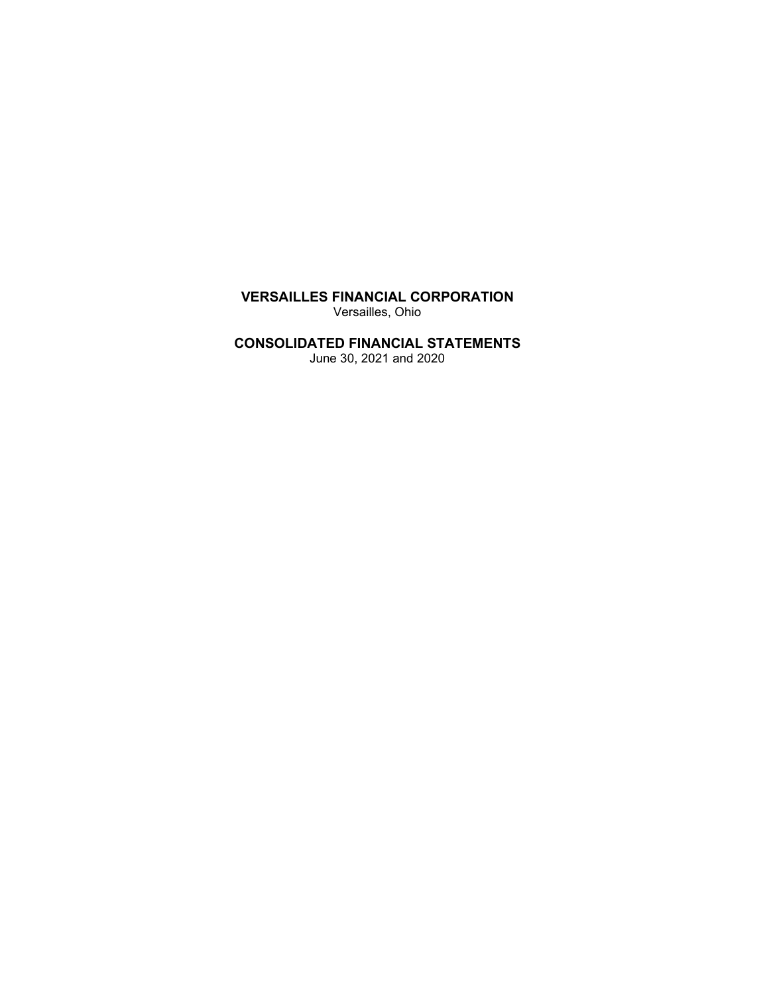**VERSAILLES FINANCIAL CORPORATION** Versailles, Ohio

# **CONSOLIDATED FINANCIAL STATEMENTS**

June 30, 2021 and 2020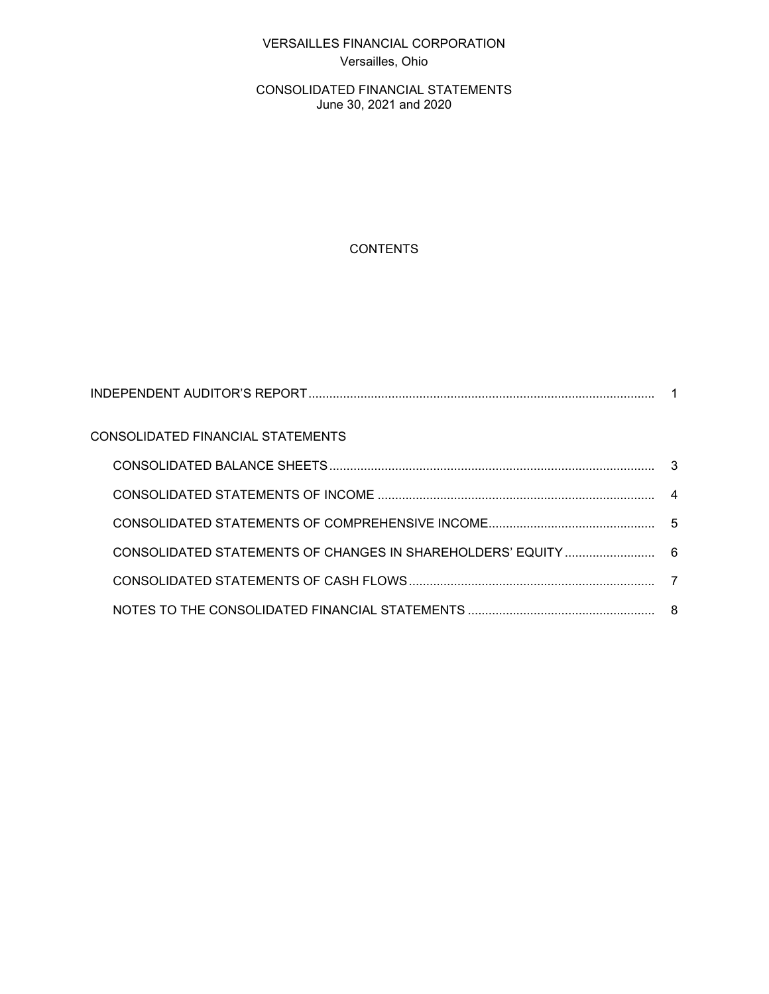# VERSAILLES FINANCIAL CORPORATION Versailles, Ohio

CONSOLIDATED FINANCIAL STATEMENTS June 30, 2021 and 2020

# **CONTENTS**

| CONSOLIDATED FINANCIAL STATEMENTS |  |
|-----------------------------------|--|
|                                   |  |
|                                   |  |
|                                   |  |
|                                   |  |
|                                   |  |
|                                   |  |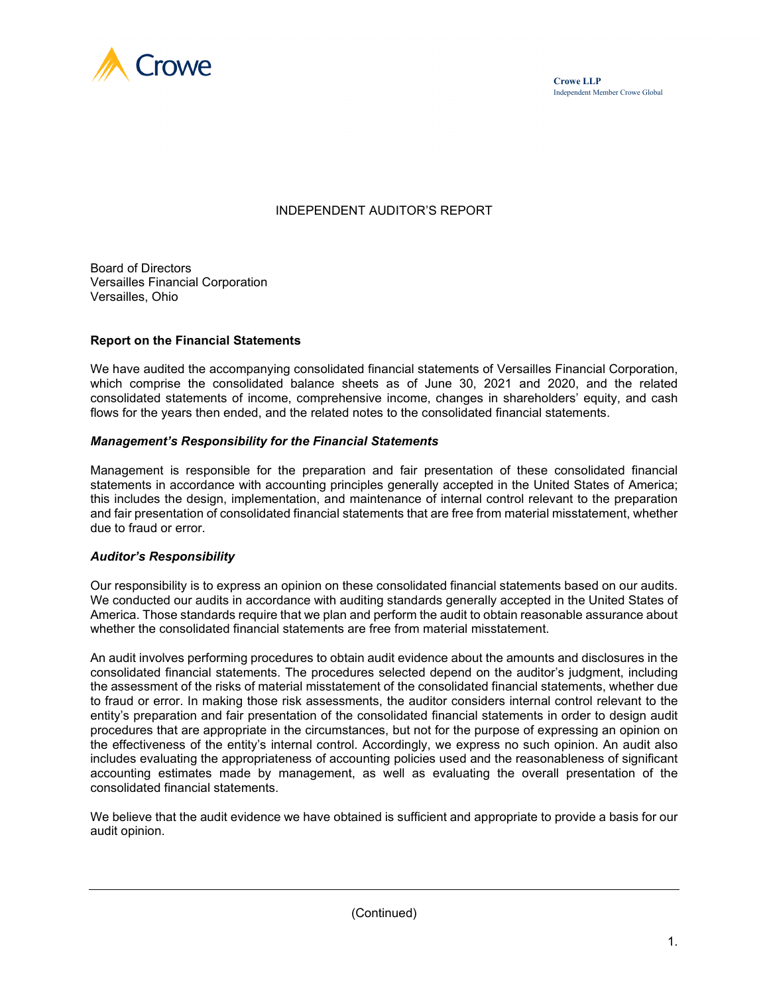

### INDEPENDENT AUDITOR'S REPORT

Board of Directors Versailles Financial Corporation Versailles, Ohio

#### **Report on the Financial Statements**

We have audited the accompanying consolidated financial statements of Versailles Financial Corporation, which comprise the consolidated balance sheets as of June 30, 2021 and 2020, and the related consolidated statements of income, comprehensive income, changes in shareholders' equity, and cash flows for the years then ended, and the related notes to the consolidated financial statements.

#### *Management's Responsibility for the Financial Statements*

Management is responsible for the preparation and fair presentation of these consolidated financial statements in accordance with accounting principles generally accepted in the United States of America; this includes the design, implementation, and maintenance of internal control relevant to the preparation and fair presentation of consolidated financial statements that are free from material misstatement, whether due to fraud or error.

#### *Auditor's Responsibility*

Our responsibility is to express an opinion on these consolidated financial statements based on our audits. We conducted our audits in accordance with auditing standards generally accepted in the United States of America. Those standards require that we plan and perform the audit to obtain reasonable assurance about whether the consolidated financial statements are free from material misstatement.

An audit involves performing procedures to obtain audit evidence about the amounts and disclosures in the consolidated financial statements. The procedures selected depend on the auditor's judgment, including the assessment of the risks of material misstatement of the consolidated financial statements, whether due to fraud or error. In making those risk assessments, the auditor considers internal control relevant to the entity's preparation and fair presentation of the consolidated financial statements in order to design audit procedures that are appropriate in the circumstances, but not for the purpose of expressing an opinion on the effectiveness of the entity's internal control. Accordingly, we express no such opinion. An audit also includes evaluating the appropriateness of accounting policies used and the reasonableness of significant accounting estimates made by management, as well as evaluating the overall presentation of the consolidated financial statements.

We believe that the audit evidence we have obtained is sufficient and appropriate to provide a basis for our audit opinion.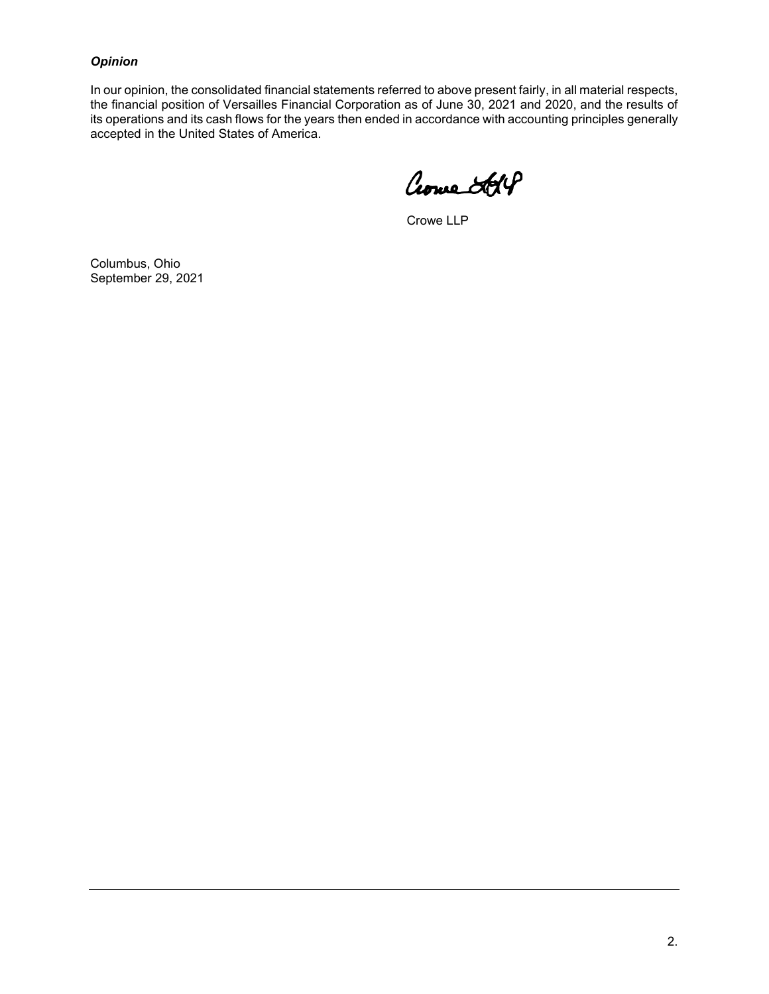#### *Opinion*

In our opinion, the consolidated financial statements referred to above present fairly, in all material respects, the financial position of Versailles Financial Corporation as of June 30, 2021 and 2020, and the results of its operations and its cash flows for the years then ended in accordance with accounting principles generally accepted in the United States of America.

Crown Lot

Crowe LLP

Columbus, Ohio September 29, 2021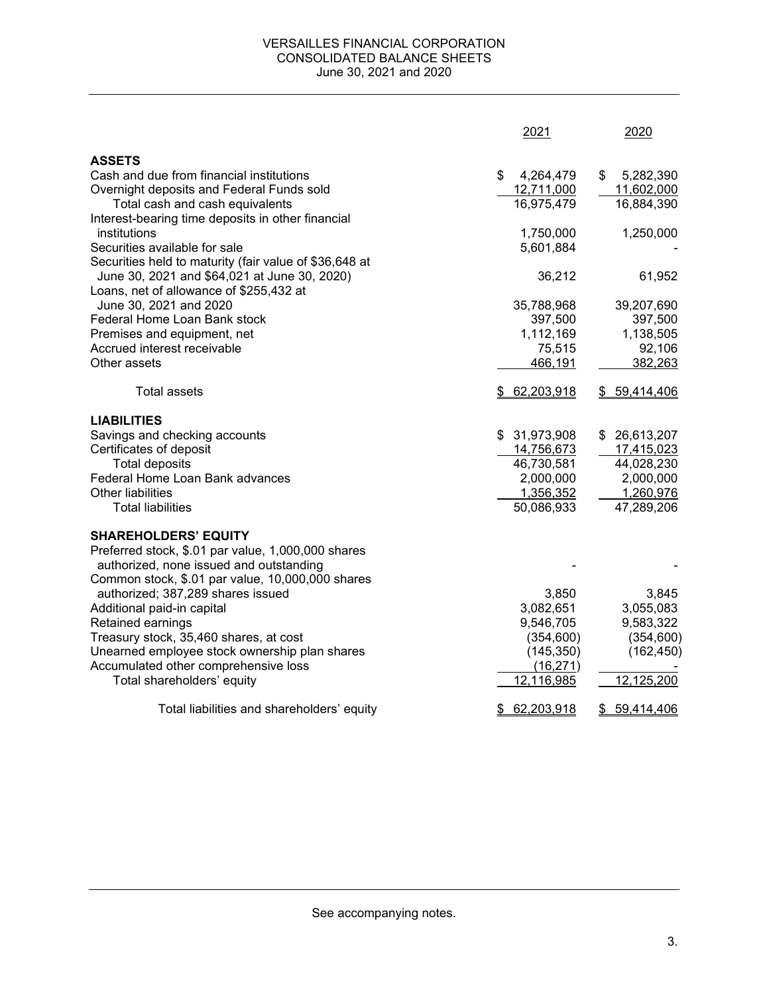#### VERSAILLES FINANCIAL CORPORATION CONSOLIDATED BALANCE SHEETS June 30, 2021 and 2020

|                                                        | 2021              | 2020            |
|--------------------------------------------------------|-------------------|-----------------|
| <b>ASSETS</b>                                          |                   |                 |
| Cash and due from financial institutions               | 4,264,479<br>\$   | 5,282,390<br>\$ |
| Overnight deposits and Federal Funds sold              | 12,711,000        | 11,602,000      |
| Total cash and cash equivalents                        | 16,975,479        | 16,884,390      |
| Interest-bearing time deposits in other financial      |                   |                 |
| institutions                                           | 1,750,000         | 1,250,000       |
| Securities available for sale                          | 5,601,884         |                 |
| Securities held to maturity (fair value of \$36,648 at |                   |                 |
| June 30, 2021 and \$64,021 at June 30, 2020)           | 36,212            | 61,952          |
| Loans, net of allowance of \$255,432 at                |                   |                 |
| June 30, 2021 and 2020                                 | 35,788,968        | 39,207,690      |
| Federal Home Loan Bank stock                           | 397,500           | 397,500         |
| Premises and equipment, net                            | 1,112,169         | 1,138,505       |
| Accrued interest receivable                            | 75,515            | 92,106          |
| Other assets                                           | 466,191           | 382,263         |
| Total assets                                           | \$62,203,918      | \$59,414,406    |
| <b>LIABILITIES</b>                                     |                   |                 |
| Savings and checking accounts                          | \$31,973,908      | \$ 26,613,207   |
| Certificates of deposit                                | 14,756,673        | 17,415,023      |
| <b>Total deposits</b>                                  | 46,730,581        | 44,028,230      |
| Federal Home Loan Bank advances                        | 2,000,000         | 2,000,000       |
| <b>Other liabilities</b>                               | 1,356,352         | 1,260,976       |
| <b>Total liabilities</b>                               | 50,086,933        | 47,289,206      |
| <b>SHAREHOLDERS' EQUITY</b>                            |                   |                 |
| Preferred stock, \$.01 par value, 1,000,000 shares     |                   |                 |
| authorized, none issued and outstanding                |                   |                 |
| Common stock, \$.01 par value, 10,000,000 shares       |                   |                 |
| authorized; 387,289 shares issued                      | 3,850             | 3,845           |
| Additional paid-in capital                             | 3,082,651         | 3,055,083       |
| Retained earnings                                      | 9,546,705         | 9,583,322       |
| Treasury stock, 35,460 shares, at cost                 | (354, 600)        | (354, 600)      |
| Unearned employee stock ownership plan shares          | (145, 350)        | (162, 450)      |
| Accumulated other comprehensive loss                   | (16, 271)         |                 |
| Total shareholders' equity                             | 12,116,985        | 12,125,200      |
| Total liabilities and shareholders' equity             | 62,203,918<br>SS. | \$59,414,406    |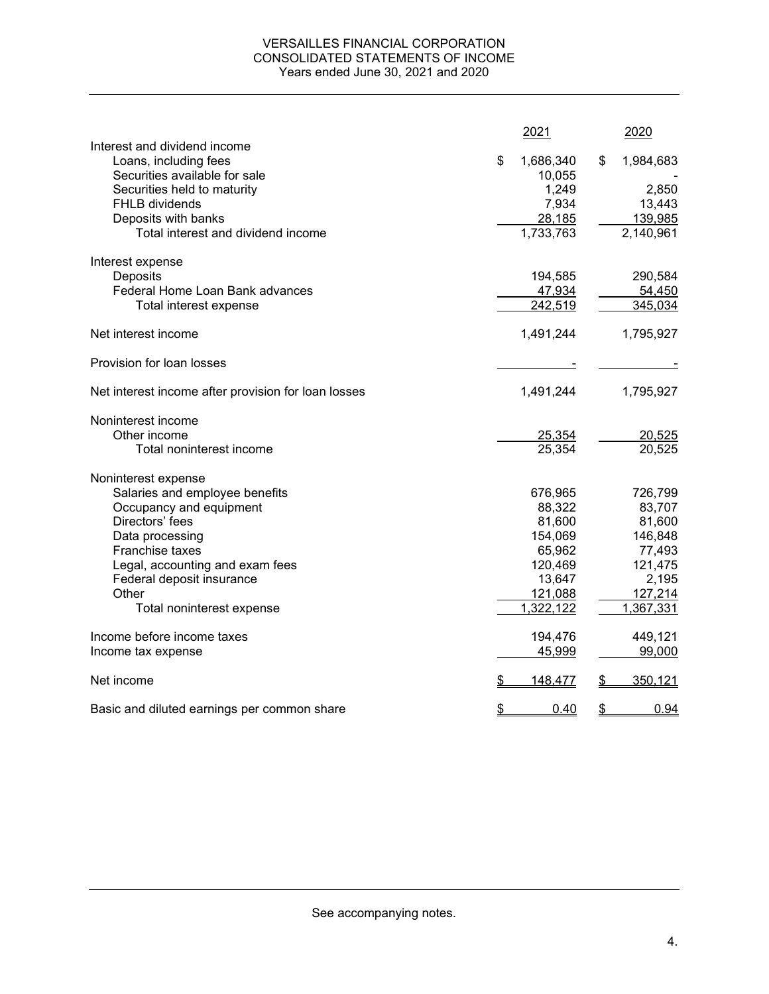#### VERSAILLES FINANCIAL CORPORATION CONSOLIDATED STATEMENTS OF INCOME Years ended June 30, 2021 and 2020

|                                                        | 2021                | 2020              |
|--------------------------------------------------------|---------------------|-------------------|
| Interest and dividend income                           | \$                  |                   |
| Loans, including fees<br>Securities available for sale | 1,686,340<br>10,055 | \$<br>1,984,683   |
| Securities held to maturity                            | 1,249               | 2,850             |
| <b>FHLB</b> dividends                                  | 7,934               | 13,443            |
| Deposits with banks                                    | 28,185              | 139,985           |
| Total interest and dividend income                     | 1,733,763           | 2,140,961         |
| Interest expense                                       |                     |                   |
| Deposits                                               | 194,585             | 290,584           |
| Federal Home Loan Bank advances                        | 47,934              | 54,450            |
| Total interest expense                                 | 242,519             | 345,034           |
| Net interest income                                    | 1,491,244           | 1,795,927         |
| Provision for loan losses                              |                     |                   |
| Net interest income after provision for loan losses    | 1,491,244           | 1,795,927         |
| Noninterest income                                     |                     |                   |
| Other income                                           | 25,354              | 20,525            |
| Total noninterest income                               | 25,354              | 20,525            |
| Noninterest expense                                    |                     |                   |
| Salaries and employee benefits                         | 676,965             | 726,799           |
| Occupancy and equipment                                | 88,322              | 83,707            |
| Directors' fees                                        | 81,600              | 81,600            |
| Data processing<br>Franchise taxes                     | 154,069<br>65,962   | 146,848<br>77,493 |
| Legal, accounting and exam fees                        | 120,469             | 121,475           |
| Federal deposit insurance                              | 13,647              | 2,195             |
| Other                                                  | 121,088             | 127,214           |
| Total noninterest expense                              | 1,322,122           | 1,367,331         |
| Income before income taxes                             | 194,476             | 449,121           |
| Income tax expense                                     | 45,999              | 99,000            |
| Net income                                             | \$<br>148,477       | 350,121           |
| Basic and diluted earnings per common share            | \$<br>0.40          | \$<br>0.94        |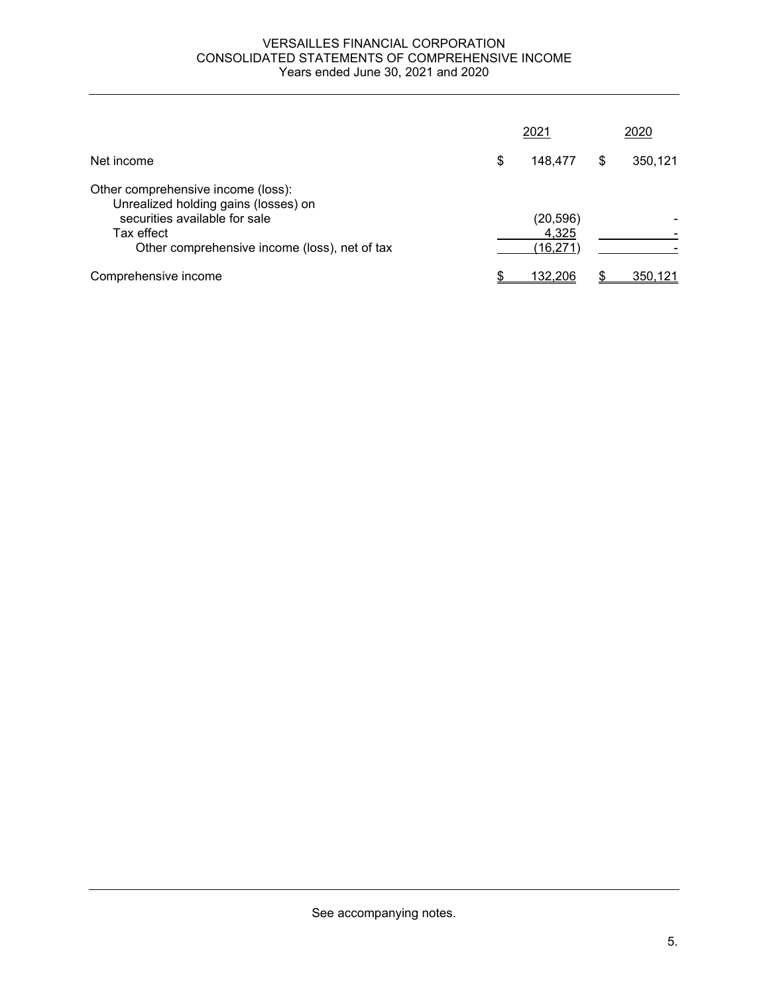#### VERSAILLES FINANCIAL CORPORATION CONSOLIDATED STATEMENTS OF COMPREHENSIVE INCOME Years ended June 30, 2021 and 2020

|                                                                                                                                                                            | 2021                           |   | 2020    |
|----------------------------------------------------------------------------------------------------------------------------------------------------------------------------|--------------------------------|---|---------|
| Net income                                                                                                                                                                 | \$<br>148.477                  | S | 350,121 |
| Other comprehensive income (loss):<br>Unrealized holding gains (losses) on<br>securities available for sale<br>Tax effect<br>Other comprehensive income (loss), net of tax | (20, 596)<br>4,325<br>(16,271) |   |         |
| Comprehensive income                                                                                                                                                       | 132.206                        |   | 350,121 |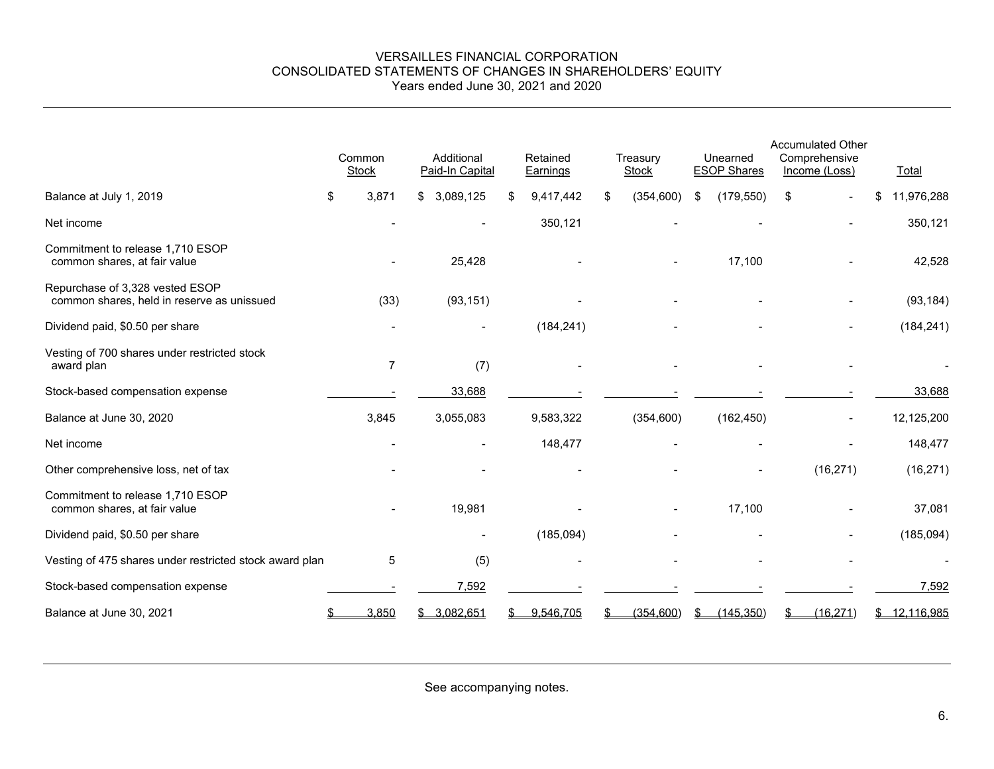#### VERSAILLES FINANCIAL CORPORATION CONSOLIDATED STATEMENTS OF CHANGES IN SHAREHOLDERS' EQUITY Years ended June 30, 2021 and 2020

|                                                                               | Common<br><b>Stock</b> | Additional<br>Paid-In Capital | Retained<br>Earnings | Treasury<br>Stock | Unearned<br><b>ESOP Shares</b> | <b>Accumulated Other</b><br>Comprehensive<br>Income (Loss) | Total        |
|-------------------------------------------------------------------------------|------------------------|-------------------------------|----------------------|-------------------|--------------------------------|------------------------------------------------------------|--------------|
| Balance at July 1, 2019                                                       | \$<br>3,871            | 3,089,125<br>\$               | 9,417,442<br>\$      | \$<br>(354, 600)  | (179, 550)<br>\$               | \$                                                         | 11,976,288   |
| Net income                                                                    |                        |                               | 350,121              |                   |                                |                                                            | 350,121      |
| Commitment to release 1,710 ESOP<br>common shares, at fair value              |                        | 25,428                        |                      |                   | 17,100                         |                                                            | 42,528       |
| Repurchase of 3,328 vested ESOP<br>common shares, held in reserve as unissued | (33)                   | (93, 151)                     |                      |                   |                                |                                                            | (93, 184)    |
| Dividend paid, \$0.50 per share                                               |                        | $\overline{\phantom{a}}$      | (184, 241)           |                   |                                |                                                            | (184, 241)   |
| Vesting of 700 shares under restricted stock<br>award plan                    | $\overline{7}$         | (7)                           |                      |                   |                                |                                                            |              |
| Stock-based compensation expense                                              |                        | 33,688                        |                      |                   |                                |                                                            | 33,688       |
| Balance at June 30, 2020                                                      | 3,845                  | 3,055,083                     | 9,583,322            | (354, 600)        | (162, 450)                     |                                                            | 12,125,200   |
| Net income                                                                    |                        |                               | 148,477              |                   |                                |                                                            | 148,477      |
| Other comprehensive loss, net of tax                                          |                        |                               |                      |                   |                                | (16, 271)                                                  | (16, 271)    |
| Commitment to release 1,710 ESOP<br>common shares, at fair value              |                        | 19,981                        |                      |                   | 17,100                         |                                                            | 37,081       |
| Dividend paid, \$0.50 per share                                               |                        | $\overline{\phantom{a}}$      | (185,094)            |                   |                                |                                                            | (185,094)    |
| Vesting of 475 shares under restricted stock award plan                       | 5                      | (5)                           |                      |                   |                                |                                                            |              |
| Stock-based compensation expense                                              |                        | 7,592                         |                      |                   |                                |                                                            | 7,592        |
| Balance at June 30, 2021                                                      | 3,850                  | \$3,082,651                   | 9,546,705            | (354, 600)        | (145, 350)                     | (16, 271)                                                  | \$12,116,985 |

See accompanying notes.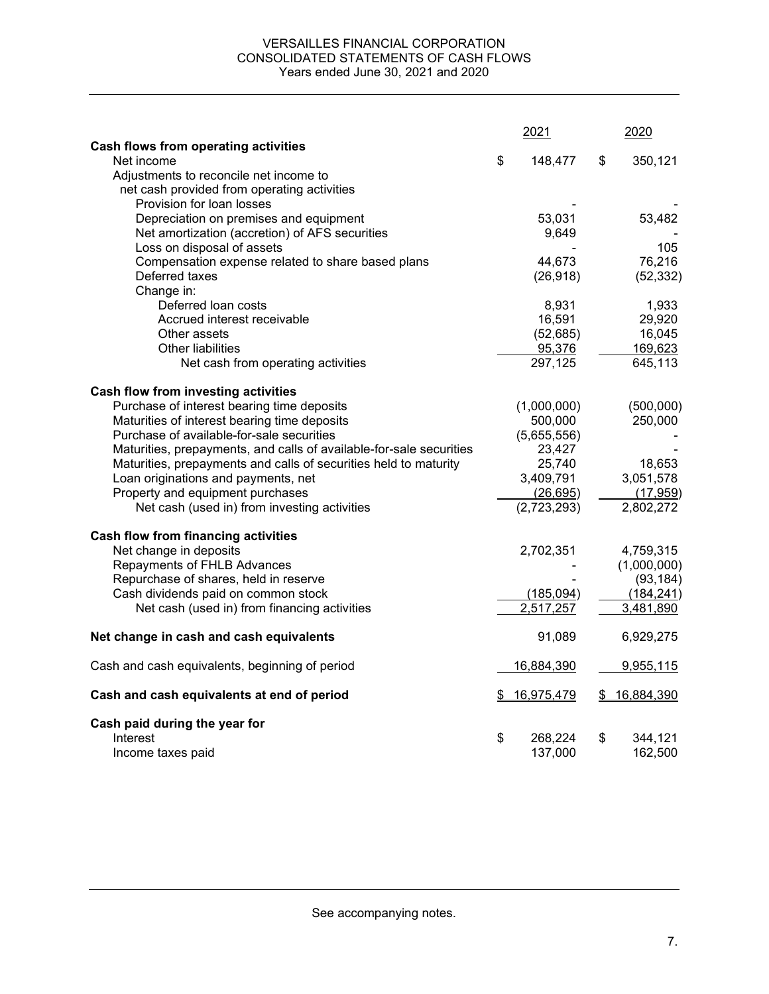#### VERSAILLES FINANCIAL CORPORATION CONSOLIDATED STATEMENTS OF CASH FLOWS Years ended June 30, 2021 and 2020

|                                                                     | 2021                     | 2020                     |
|---------------------------------------------------------------------|--------------------------|--------------------------|
| Cash flows from operating activities                                |                          |                          |
| Net income                                                          | \$<br>148,477            | \$<br>350,121            |
| Adjustments to reconcile net income to                              |                          |                          |
| net cash provided from operating activities                         |                          |                          |
| Provision for loan losses                                           |                          |                          |
| Depreciation on premises and equipment                              | 53,031                   | 53,482                   |
| Net amortization (accretion) of AFS securities                      | 9,649                    |                          |
| Loss on disposal of assets                                          |                          | 105                      |
| Compensation expense related to share based plans                   | 44,673                   | 76,216                   |
| Deferred taxes                                                      | (26, 918)                | (52, 332)                |
| Change in:                                                          |                          |                          |
| Deferred loan costs                                                 | 8,931                    | 1,933                    |
| Accrued interest receivable                                         | 16,591                   | 29,920                   |
| Other assets                                                        | (52, 685)                | 16,045                   |
| Other liabilities                                                   | 95,376                   | 169,623                  |
| Net cash from operating activities                                  | 297,125                  | 645,113                  |
| Cash flow from investing activities                                 |                          |                          |
| Purchase of interest bearing time deposits                          | (1,000,000)              | (500,000)                |
| Maturities of interest bearing time deposits                        | 500,000                  | 250,000                  |
| Purchase of available-for-sale securities                           | (5,655,556)              |                          |
| Maturities, prepayments, and calls of available-for-sale securities | 23,427                   |                          |
| Maturities, prepayments and calls of securities held to maturity    | 25,740                   | 18,653                   |
| Loan originations and payments, net                                 | 3,409,791                | 3,051,578                |
| Property and equipment purchases                                    | (26, 695)                | (17, 959)                |
| Net cash (used in) from investing activities                        | (2,723,293)              | 2,802,272                |
| <b>Cash flow from financing activities</b>                          |                          |                          |
| Net change in deposits                                              | 2,702,351                | 4,759,315                |
| Repayments of FHLB Advances                                         |                          | (1,000,000)              |
| Repurchase of shares, held in reserve                               |                          | (93, 184)                |
| Cash dividends paid on common stock                                 | (185, 094)               | (184, 241)               |
| Net cash (used in) from financing activities                        | 2,517,257                | 3,481,890                |
| Net change in cash and cash equivalents                             | 91,089                   | 6,929,275                |
| Cash and cash equivalents, beginning of period                      | 16,884,390               | 9,955,115                |
| Cash and cash equivalents at end of period                          | 16,975,479               | \$<br>16,884,390         |
| Cash paid during the year for<br>Interest<br>Income taxes paid      | \$<br>268,224<br>137,000 | \$<br>344,121<br>162,500 |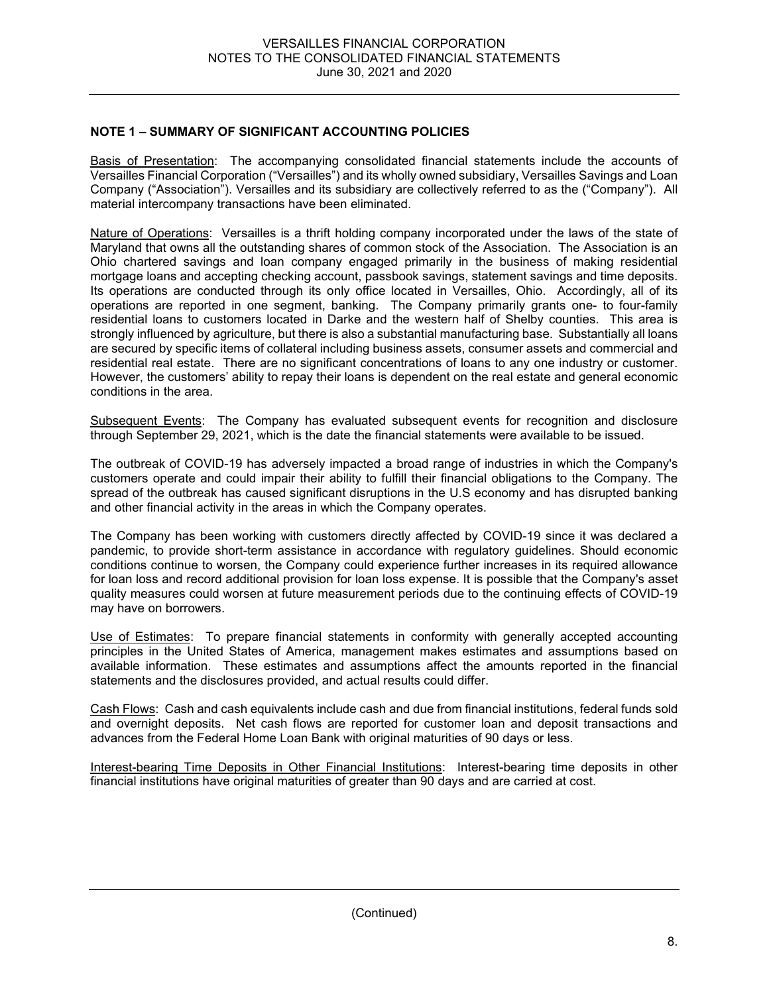### **NOTE 1 – SUMMARY OF SIGNIFICANT ACCOUNTING POLICIES**

Basis of Presentation: The accompanying consolidated financial statements include the accounts of Versailles Financial Corporation ("Versailles") and its wholly owned subsidiary, Versailles Savings and Loan Company ("Association"). Versailles and its subsidiary are collectively referred to as the ("Company"). All material intercompany transactions have been eliminated.

Nature of Operations: Versailles is a thrift holding company incorporated under the laws of the state of Maryland that owns all the outstanding shares of common stock of the Association. The Association is an Ohio chartered savings and loan company engaged primarily in the business of making residential mortgage loans and accepting checking account, passbook savings, statement savings and time deposits. Its operations are conducted through its only office located in Versailles, Ohio. Accordingly, all of its operations are reported in one segment, banking. The Company primarily grants one- to four-family residential loans to customers located in Darke and the western half of Shelby counties. This area is strongly influenced by agriculture, but there is also a substantial manufacturing base. Substantially all loans are secured by specific items of collateral including business assets, consumer assets and commercial and residential real estate. There are no significant concentrations of loans to any one industry or customer. However, the customers' ability to repay their loans is dependent on the real estate and general economic conditions in the area.

Subsequent Events: The Company has evaluated subsequent events for recognition and disclosure through September 29, 2021, which is the date the financial statements were available to be issued.

The outbreak of COVID-19 has adversely impacted a broad range of industries in which the Company's customers operate and could impair their ability to fulfill their financial obligations to the Company. The spread of the outbreak has caused significant disruptions in the U.S economy and has disrupted banking and other financial activity in the areas in which the Company operates.

The Company has been working with customers directly affected by COVID-19 since it was declared a pandemic, to provide short-term assistance in accordance with regulatory guidelines. Should economic conditions continue to worsen, the Company could experience further increases in its required allowance for loan loss and record additional provision for loan loss expense. It is possible that the Company's asset quality measures could worsen at future measurement periods due to the continuing effects of COVID-19 may have on borrowers.

Use of Estimates: To prepare financial statements in conformity with generally accepted accounting principles in the United States of America, management makes estimates and assumptions based on available information. These estimates and assumptions affect the amounts reported in the financial statements and the disclosures provided, and actual results could differ.

Cash Flows: Cash and cash equivalents include cash and due from financial institutions, federal funds sold and overnight deposits. Net cash flows are reported for customer loan and deposit transactions and advances from the Federal Home Loan Bank with original maturities of 90 days or less.

Interest-bearing Time Deposits in Other Financial Institutions: Interest-bearing time deposits in other financial institutions have original maturities of greater than 90 days and are carried at cost.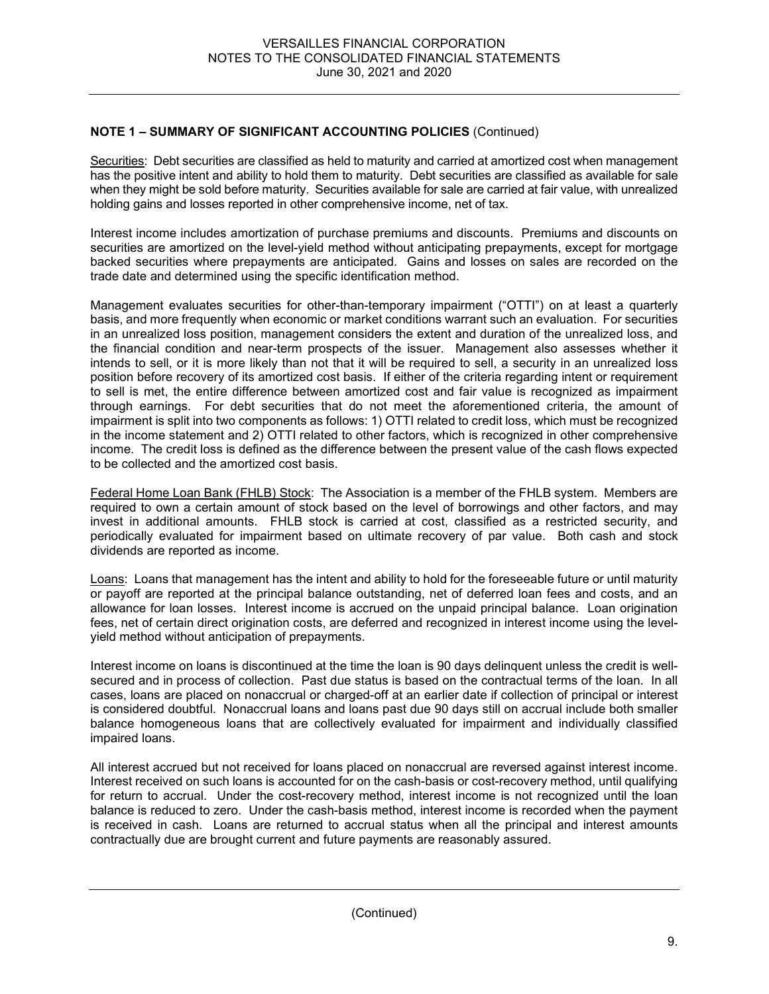Securities: Debt securities are classified as held to maturity and carried at amortized cost when management has the positive intent and ability to hold them to maturity. Debt securities are classified as available for sale when they might be sold before maturity. Securities available for sale are carried at fair value, with unrealized holding gains and losses reported in other comprehensive income, net of tax.

Interest income includes amortization of purchase premiums and discounts. Premiums and discounts on securities are amortized on the level-yield method without anticipating prepayments, except for mortgage backed securities where prepayments are anticipated. Gains and losses on sales are recorded on the trade date and determined using the specific identification method.

Management evaluates securities for other-than-temporary impairment ("OTTI") on at least a quarterly basis, and more frequently when economic or market conditions warrant such an evaluation. For securities in an unrealized loss position, management considers the extent and duration of the unrealized loss, and the financial condition and near-term prospects of the issuer. Management also assesses whether it intends to sell, or it is more likely than not that it will be required to sell, a security in an unrealized loss position before recovery of its amortized cost basis. If either of the criteria regarding intent or requirement to sell is met, the entire difference between amortized cost and fair value is recognized as impairment through earnings. For debt securities that do not meet the aforementioned criteria, the amount of impairment is split into two components as follows: 1) OTTI related to credit loss, which must be recognized in the income statement and 2) OTTI related to other factors, which is recognized in other comprehensive income. The credit loss is defined as the difference between the present value of the cash flows expected to be collected and the amortized cost basis.

Federal Home Loan Bank (FHLB) Stock: The Association is a member of the FHLB system. Members are required to own a certain amount of stock based on the level of borrowings and other factors, and may invest in additional amounts. FHLB stock is carried at cost, classified as a restricted security, and periodically evaluated for impairment based on ultimate recovery of par value. Both cash and stock dividends are reported as income.

Loans: Loans that management has the intent and ability to hold for the foreseeable future or until maturity or payoff are reported at the principal balance outstanding, net of deferred loan fees and costs, and an allowance for loan losses. Interest income is accrued on the unpaid principal balance. Loan origination fees, net of certain direct origination costs, are deferred and recognized in interest income using the levelyield method without anticipation of prepayments.

Interest income on loans is discontinued at the time the loan is 90 days delinquent unless the credit is wellsecured and in process of collection. Past due status is based on the contractual terms of the loan. In all cases, loans are placed on nonaccrual or charged-off at an earlier date if collection of principal or interest is considered doubtful. Nonaccrual loans and loans past due 90 days still on accrual include both smaller balance homogeneous loans that are collectively evaluated for impairment and individually classified impaired loans.

All interest accrued but not received for loans placed on nonaccrual are reversed against interest income. Interest received on such loans is accounted for on the cash-basis or cost-recovery method, until qualifying for return to accrual. Under the cost-recovery method, interest income is not recognized until the loan balance is reduced to zero. Under the cash-basis method, interest income is recorded when the payment is received in cash. Loans are returned to accrual status when all the principal and interest amounts contractually due are brought current and future payments are reasonably assured.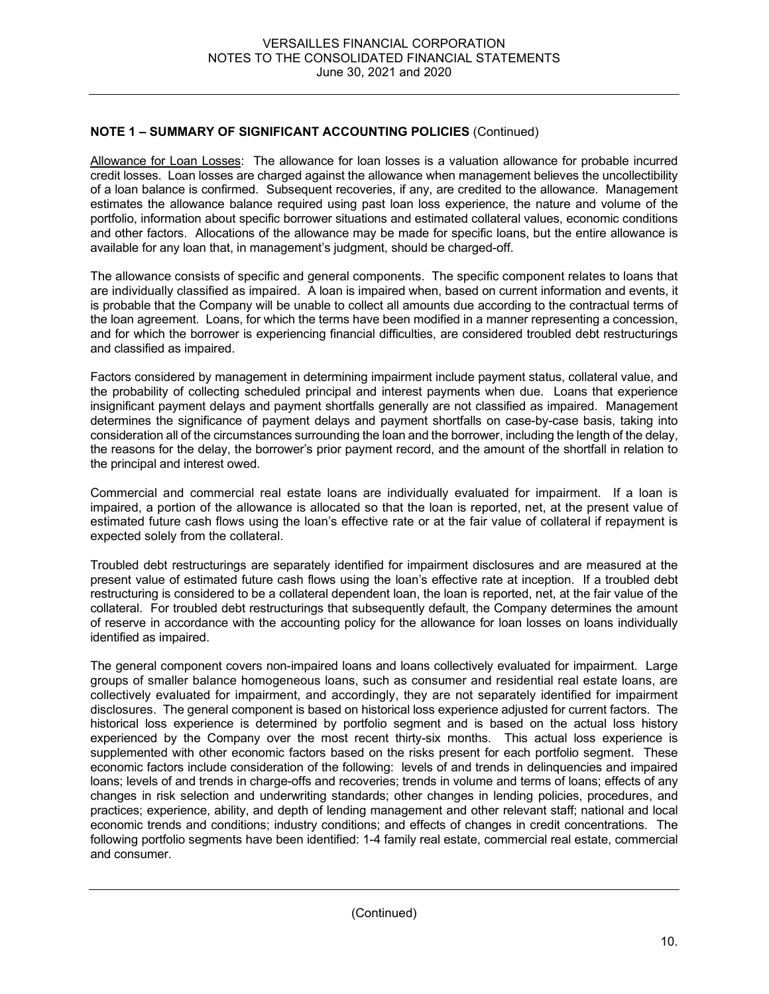Allowance for Loan Losses: The allowance for loan losses is a valuation allowance for probable incurred credit losses. Loan losses are charged against the allowance when management believes the uncollectibility of a loan balance is confirmed. Subsequent recoveries, if any, are credited to the allowance. Management estimates the allowance balance required using past loan loss experience, the nature and volume of the portfolio, information about specific borrower situations and estimated collateral values, economic conditions and other factors. Allocations of the allowance may be made for specific loans, but the entire allowance is available for any loan that, in management's judgment, should be charged-off.

The allowance consists of specific and general components. The specific component relates to loans that are individually classified as impaired. A loan is impaired when, based on current information and events, it is probable that the Company will be unable to collect all amounts due according to the contractual terms of the loan agreement. Loans, for which the terms have been modified in a manner representing a concession, and for which the borrower is experiencing financial difficulties, are considered troubled debt restructurings and classified as impaired.

Factors considered by management in determining impairment include payment status, collateral value, and the probability of collecting scheduled principal and interest payments when due. Loans that experience insignificant payment delays and payment shortfalls generally are not classified as impaired. Management determines the significance of payment delays and payment shortfalls on case-by-case basis, taking into consideration all of the circumstances surrounding the loan and the borrower, including the length of the delay, the reasons for the delay, the borrower's prior payment record, and the amount of the shortfall in relation to the principal and interest owed.

Commercial and commercial real estate loans are individually evaluated for impairment. If a loan is impaired, a portion of the allowance is allocated so that the loan is reported, net, at the present value of estimated future cash flows using the loan's effective rate or at the fair value of collateral if repayment is expected solely from the collateral.

Troubled debt restructurings are separately identified for impairment disclosures and are measured at the present value of estimated future cash flows using the loan's effective rate at inception. If a troubled debt restructuring is considered to be a collateral dependent loan, the loan is reported, net, at the fair value of the collateral. For troubled debt restructurings that subsequently default, the Company determines the amount of reserve in accordance with the accounting policy for the allowance for loan losses on loans individually identified as impaired.

The general component covers non-impaired loans and loans collectively evaluated for impairment. Large groups of smaller balance homogeneous loans, such as consumer and residential real estate loans, are collectively evaluated for impairment, and accordingly, they are not separately identified for impairment disclosures. The general component is based on historical loss experience adjusted for current factors. The historical loss experience is determined by portfolio segment and is based on the actual loss history experienced by the Company over the most recent thirty-six months. This actual loss experience is supplemented with other economic factors based on the risks present for each portfolio segment. These economic factors include consideration of the following: levels of and trends in delinquencies and impaired loans; levels of and trends in charge-offs and recoveries; trends in volume and terms of loans; effects of any changes in risk selection and underwriting standards; other changes in lending policies, procedures, and practices; experience, ability, and depth of lending management and other relevant staff; national and local economic trends and conditions; industry conditions; and effects of changes in credit concentrations. The following portfolio segments have been identified: 1-4 family real estate, commercial real estate, commercial and consumer.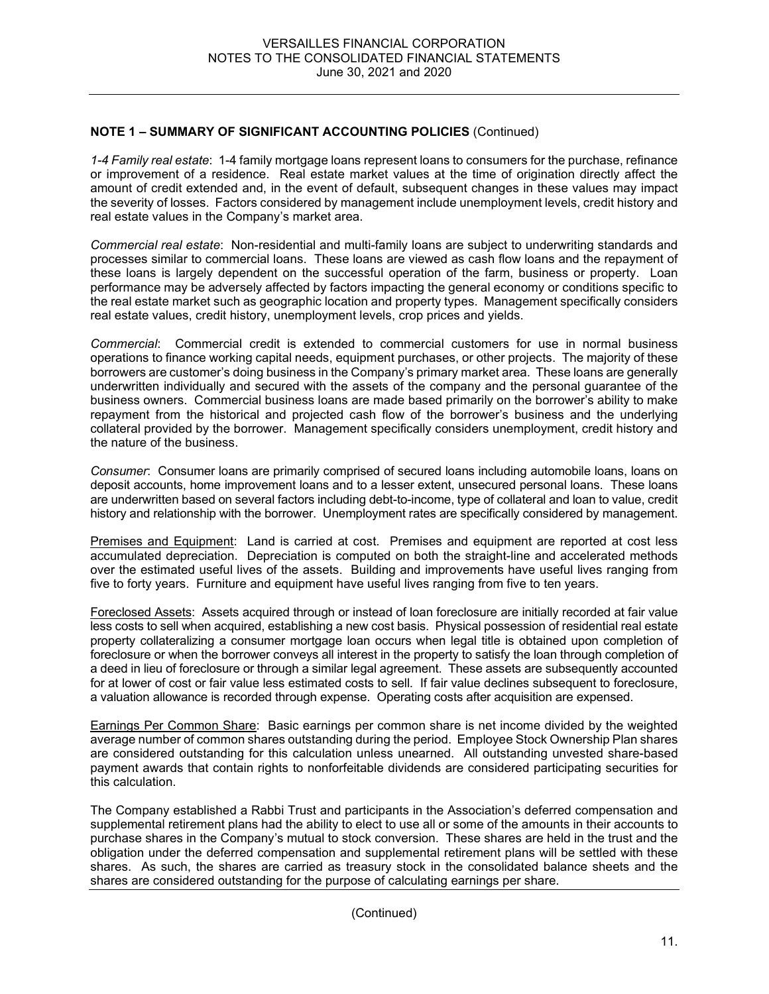*1-4 Family real estate*:1-4 family mortgage loans represent loans to consumers for the purchase, refinance or improvement of a residence. Real estate market values at the time of origination directly affect the amount of credit extended and, in the event of default, subsequent changes in these values may impact the severity of losses. Factors considered by management include unemployment levels, credit history and real estate values in the Company's market area.

*Commercial real estate*:Non-residential and multi-family loans are subject to underwriting standards and processes similar to commercial loans. These loans are viewed as cash flow loans and the repayment of these loans is largely dependent on the successful operation of the farm, business or property. Loan performance may be adversely affected by factors impacting the general economy or conditions specific to the real estate market such as geographic location and property types. Management specifically considers real estate values, credit history, unemployment levels, crop prices and yields.

*Commercial*: Commercial credit is extended to commercial customers for use in normal business operations to finance working capital needs, equipment purchases, or other projects. The majority of these borrowers are customer's doing business in the Company's primary market area. These loans are generally underwritten individually and secured with the assets of the company and the personal guarantee of the business owners. Commercial business loans are made based primarily on the borrower's ability to make repayment from the historical and projected cash flow of the borrower's business and the underlying collateral provided by the borrower. Management specifically considers unemployment, credit history and the nature of the business.

*Consumer*: Consumer loans are primarily comprised of secured loans including automobile loans, loans on deposit accounts, home improvement loans and to a lesser extent, unsecured personal loans. These loans are underwritten based on several factors including debt-to-income, type of collateral and loan to value, credit history and relationship with the borrower. Unemployment rates are specifically considered by management.

Premises and Equipment: Land is carried at cost. Premises and equipment are reported at cost less accumulated depreciation. Depreciation is computed on both the straight-line and accelerated methods over the estimated useful lives of the assets. Building and improvements have useful lives ranging from five to forty years. Furniture and equipment have useful lives ranging from five to ten years.

Foreclosed Assets: Assets acquired through or instead of loan foreclosure are initially recorded at fair value less costs to sell when acquired, establishing a new cost basis. Physical possession of residential real estate property collateralizing a consumer mortgage loan occurs when legal title is obtained upon completion of foreclosure or when the borrower conveys all interest in the property to satisfy the loan through completion of a deed in lieu of foreclosure or through a similar legal agreement. These assets are subsequently accounted for at lower of cost or fair value less estimated costs to sell. If fair value declines subsequent to foreclosure, a valuation allowance is recorded through expense. Operating costs after acquisition are expensed.

Earnings Per Common Share: Basic earnings per common share is net income divided by the weighted average number of common shares outstanding during the period. Employee Stock Ownership Plan shares are considered outstanding for this calculation unless unearned. All outstanding unvested share-based payment awards that contain rights to nonforfeitable dividends are considered participating securities for this calculation.

The Company established a Rabbi Trust and participants in the Association's deferred compensation and supplemental retirement plans had the ability to elect to use all or some of the amounts in their accounts to purchase shares in the Company's mutual to stock conversion. These shares are held in the trust and the obligation under the deferred compensation and supplemental retirement plans will be settled with these shares. As such, the shares are carried as treasury stock in the consolidated balance sheets and the shares are considered outstanding for the purpose of calculating earnings per share.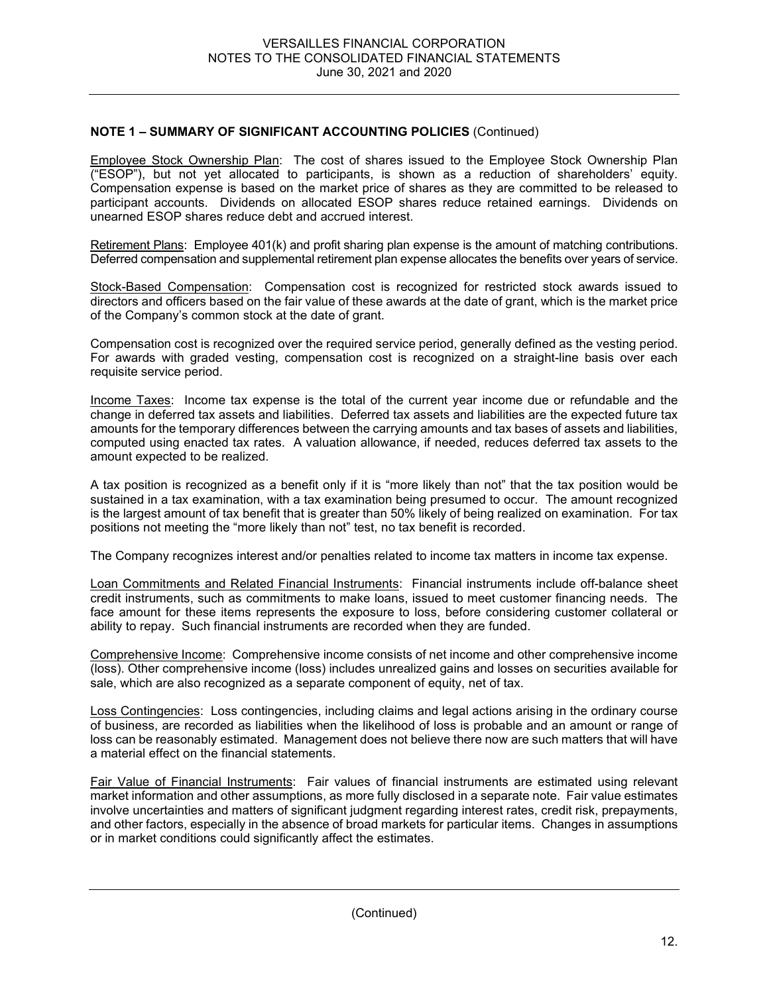Employee Stock Ownership Plan: The cost of shares issued to the Employee Stock Ownership Plan ("ESOP"), but not yet allocated to participants, is shown as a reduction of shareholders' equity. Compensation expense is based on the market price of shares as they are committed to be released to participant accounts. Dividends on allocated ESOP shares reduce retained earnings. Dividends on unearned ESOP shares reduce debt and accrued interest.

Retirement Plans: Employee 401(k) and profit sharing plan expense is the amount of matching contributions. Deferred compensation and supplemental retirement plan expense allocates the benefits over years of service.

Stock-Based Compensation: Compensation cost is recognized for restricted stock awards issued to directors and officers based on the fair value of these awards at the date of grant, which is the market price of the Company's common stock at the date of grant.

Compensation cost is recognized over the required service period, generally defined as the vesting period. For awards with graded vesting, compensation cost is recognized on a straight-line basis over each requisite service period.

Income Taxes: Income tax expense is the total of the current year income due or refundable and the change in deferred tax assets and liabilities. Deferred tax assets and liabilities are the expected future tax amounts for the temporary differences between the carrying amounts and tax bases of assets and liabilities, computed using enacted tax rates. A valuation allowance, if needed, reduces deferred tax assets to the amount expected to be realized.

A tax position is recognized as a benefit only if it is "more likely than not" that the tax position would be sustained in a tax examination, with a tax examination being presumed to occur. The amount recognized is the largest amount of tax benefit that is greater than 50% likely of being realized on examination. For tax positions not meeting the "more likely than not" test, no tax benefit is recorded.

The Company recognizes interest and/or penalties related to income tax matters in income tax expense.

Loan Commitments and Related Financial Instruments: Financial instruments include off-balance sheet credit instruments, such as commitments to make loans, issued to meet customer financing needs. The face amount for these items represents the exposure to loss, before considering customer collateral or ability to repay. Such financial instruments are recorded when they are funded.

Comprehensive Income: Comprehensive income consists of net income and other comprehensive income (loss). Other comprehensive income (loss) includes unrealized gains and losses on securities available for sale, which are also recognized as a separate component of equity, net of tax.

Loss Contingencies: Loss contingencies, including claims and legal actions arising in the ordinary course of business, are recorded as liabilities when the likelihood of loss is probable and an amount or range of loss can be reasonably estimated. Management does not believe there now are such matters that will have a material effect on the financial statements.

Fair Value of Financial Instruments: Fair values of financial instruments are estimated using relevant market information and other assumptions, as more fully disclosed in a separate note. Fair value estimates involve uncertainties and matters of significant judgment regarding interest rates, credit risk, prepayments, and other factors, especially in the absence of broad markets for particular items. Changes in assumptions or in market conditions could significantly affect the estimates.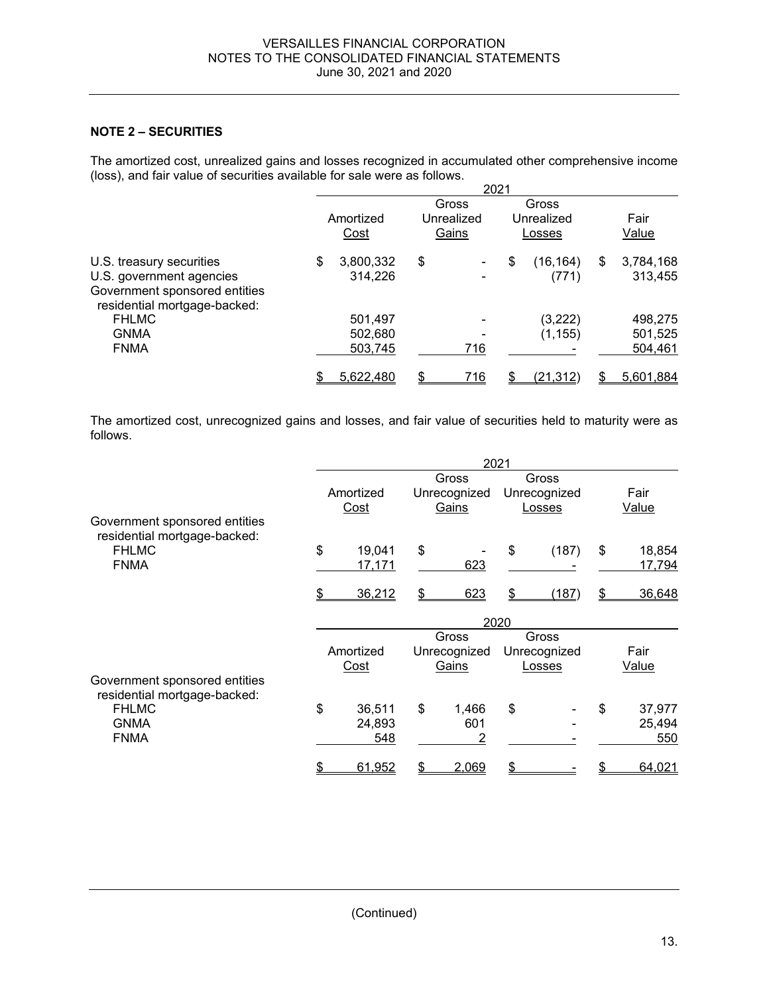# **NOTE 2 – SECURITIES**

The amortized cost, unrealized gains and losses recognized in accumulated other comprehensive income (loss), and fair value of securities available for sale were as follows.  $2021$ 

|                                                                                                                       |   |                               | 2021                         |                               |   |                               |  |
|-----------------------------------------------------------------------------------------------------------------------|---|-------------------------------|------------------------------|-------------------------------|---|-------------------------------|--|
|                                                                                                                       |   | Amortized<br>Cost             | Gross<br>Unrealized<br>Gains | Gross<br>Unrealized<br>Losses |   | Fair<br>Value                 |  |
| U.S. treasury securities<br>U.S. government agencies<br>Government sponsored entities<br>residential mortgage-backed: | S | 3,800,332<br>314,226          | \$                           | \$<br>(16, 164)<br>(771)      | S | 3,784,168<br>313,455          |  |
| <b>FHLMC</b><br><b>GNMA</b><br><b>FNMA</b>                                                                            |   | 501,497<br>502,680<br>503,745 | 716                          | (3,222)<br>(1, 155)           |   | 498,275<br>501,525<br>504,461 |  |
|                                                                                                                       |   | 5,622,480                     | 716                          | (21, 312)                     |   | 5,601,884                     |  |

The amortized cost, unrecognized gains and losses, and fair value of securities held to maturity were as follows.

|                                                                                              |                        |    |                                | 2021 |                                 |    |                  |
|----------------------------------------------------------------------------------------------|------------------------|----|--------------------------------|------|---------------------------------|----|------------------|
|                                                                                              | Amortized<br>Cost      |    | Gross<br>Unrecognized<br>Gains |      | Gross<br>Unrecognized<br>Losses |    | Fair<br>Value    |
| Government sponsored entities<br>residential mortgage-backed:<br><b>FHLMC</b><br><b>FNMA</b> | \$<br>19,041<br>17,171 | \$ | 623                            | \$   | (187)                           | \$ | 18,854<br>17,794 |
|                                                                                              | 36,212                 | \$ | 623                            | \$   | (187)                           | S  | 36,648           |
|                                                                                              |                        |    |                                | 2020 |                                 |    |                  |
|                                                                                              |                        |    | Gross                          |      | Gross                           |    |                  |
| Government sponsored entities                                                                | Amortized<br>Cost      |    | Unrecognized<br>Gains          |      | Unrecognized<br>Losses          |    | Fair<br>Value    |
| residential mortgage-backed:<br><b>FHLMC</b>                                                 | \$<br>36,511           | \$ | 1,466                          | \$   |                                 | \$ | 37,977           |
| <b>GNMA</b>                                                                                  | 24,893                 |    | 601                            |      |                                 |    | 25,494           |
| <b>FNMA</b>                                                                                  | 548                    |    | 2                              |      |                                 |    | 550              |
|                                                                                              | 61,952                 | S  | 2,069                          | \$   |                                 |    | 64,021           |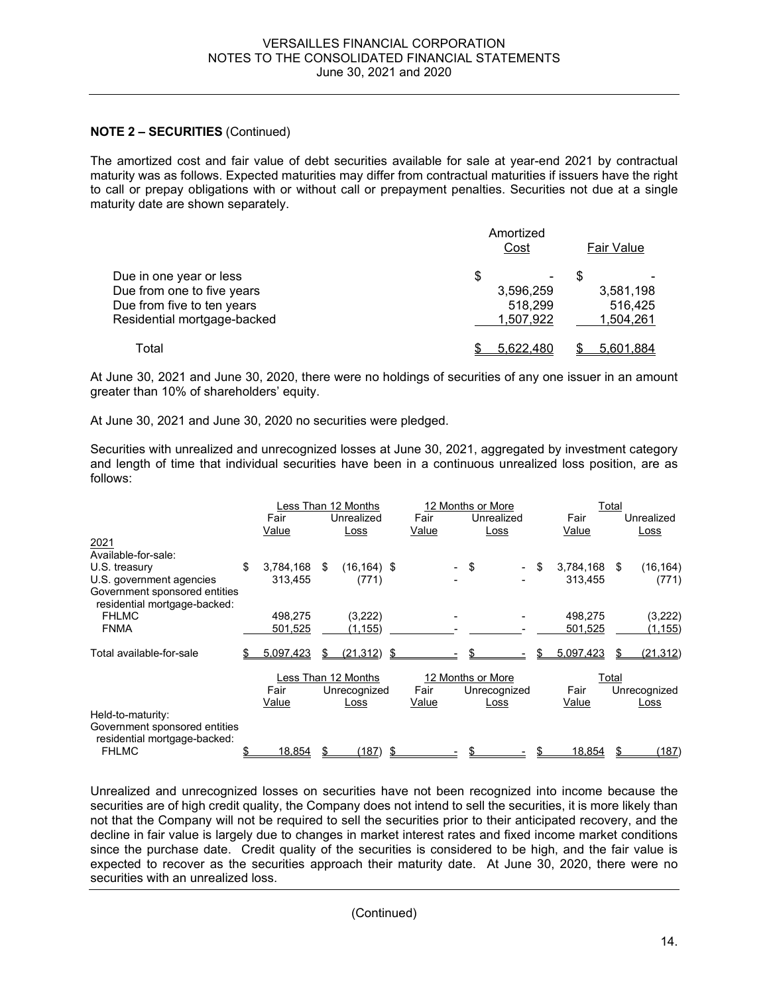#### **NOTE 2 – SECURITIES** (Continued)

The amortized cost and fair value of debt securities available for sale at year-end 2021 by contractual maturity was as follows. Expected maturities may differ from contractual maturities if issuers have the right to call or prepay obligations with or without call or prepayment penalties. Securities not due at a single maturity date are shown separately.

|                                                                                                                    | Amortized<br>Cost                      | <b>Fair Value</b>                 |
|--------------------------------------------------------------------------------------------------------------------|----------------------------------------|-----------------------------------|
| Due in one year or less<br>Due from one to five years<br>Due from five to ten years<br>Residential mortgage-backed | S<br>3,596,259<br>518,299<br>1.507.922 | 3,581,198<br>516,425<br>1,504,261 |
| Total                                                                                                              | 5.622.480                              | 5.601.884                         |

At June 30, 2021 and June 30, 2020, there were no holdings of securities of any one issuer in an amount greater than 10% of shareholders' equity.

At June 30, 2021 and June 30, 2020 no securities were pledged.

Securities with unrealized and unrecognized losses at June 30, 2021, aggregated by investment category and length of time that individual securities have been in a continuous unrealized loss position, are as follows:

|                                                               |                 | Less Than 12 Months | 12 Months or More |  |                    |    | Total         |       |                    |  |
|---------------------------------------------------------------|-----------------|---------------------|-------------------|--|--------------------|----|---------------|-------|--------------------|--|
|                                                               | Fair<br>Value   | Unrealized<br>Loss  | Fair<br>Value     |  | Unrealized<br>Loss |    | Fair<br>Value |       | Unrealized<br>Loss |  |
| 2021                                                          |                 |                     |                   |  |                    |    |               |       |                    |  |
| Available-for-sale:<br>U.S. treasury                          | \$<br>3,784,168 | \$<br>$(16.164)$ \$ |                   |  | - \$               | \$ | 3,784,168     | - \$  | (16, 164)          |  |
| U.S. government agencies                                      | 313,455         | (771)               |                   |  |                    |    | 313,455       |       | (771)              |  |
| Government sponsored entities<br>residential mortgage-backed: |                 |                     |                   |  |                    |    |               |       |                    |  |
| <b>FHLMC</b>                                                  | 498,275         | (3,222)             |                   |  |                    |    | 498.275       |       | (3,222)            |  |
| <b>FNMA</b>                                                   | 501,525         | (1, 155)            |                   |  |                    |    | 501,525       |       | (1, 155)           |  |
| Total available-for-sale                                      | 5.097.423       | $(21.312)$ \$       |                   |  |                    |    | 5.097.423     |       | (21.312)           |  |
|                                                               |                 | Less Than 12 Months |                   |  | 12 Months or More  |    |               | Total |                    |  |
|                                                               | Fair            | Unrecognized        | Fair              |  | Unrecognized       |    | Fair          |       | Unrecognized       |  |
|                                                               | Value           | Loss                | Value             |  | Loss               |    | Value         |       | Loss               |  |
| Held-to-maturity:                                             |                 |                     |                   |  |                    |    |               |       |                    |  |
| Government sponsored entities<br>residential mortgage-backed: |                 |                     |                   |  |                    |    |               |       |                    |  |
| <b>FHLMC</b>                                                  | 18,854          | (187)               | \$                |  |                    |    | 18,854        |       | (187)              |  |

Unrealized and unrecognized losses on securities have not been recognized into income because the securities are of high credit quality, the Company does not intend to sell the securities, it is more likely than not that the Company will not be required to sell the securities prior to their anticipated recovery, and the decline in fair value is largely due to changes in market interest rates and fixed income market conditions since the purchase date. Credit quality of the securities is considered to be high, and the fair value is expected to recover as the securities approach their maturity date. At June 30, 2020, there were no securities with an unrealized loss.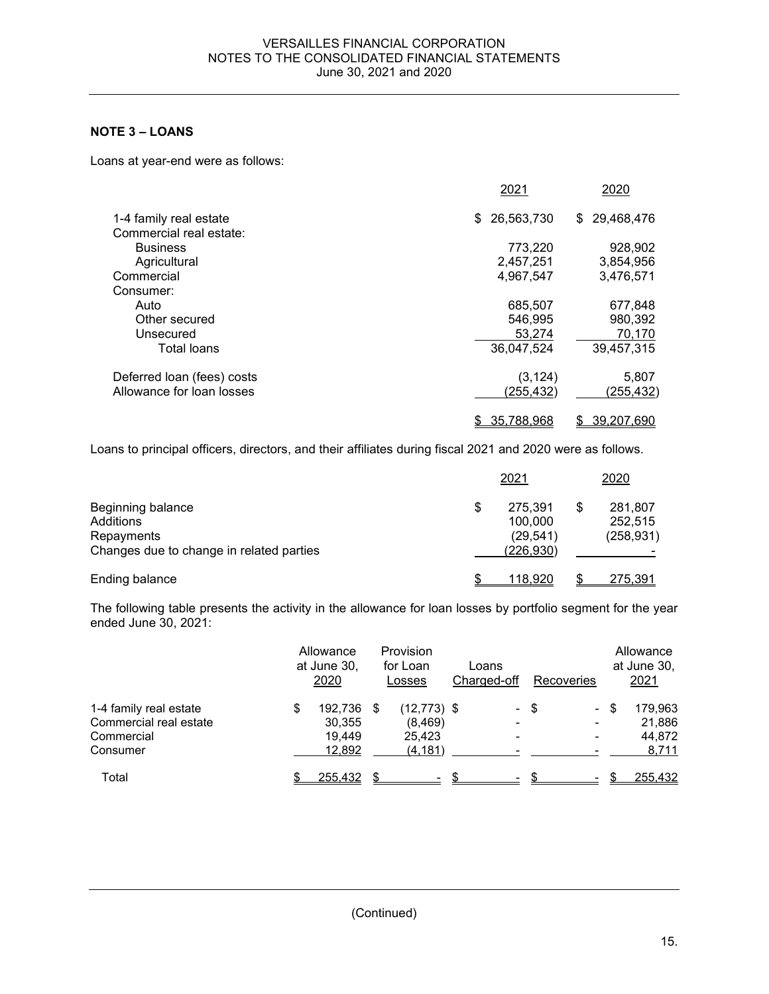# **NOTE 3 – LOANS**

Loans at year-end were as follows:

|                            | 2021             | 2020             |
|----------------------------|------------------|------------------|
| 1-4 family real estate     | 26,563,730<br>\$ | \$29,468,476     |
| Commercial real estate:    |                  |                  |
| <b>Business</b>            | 773,220          | 928,902          |
| Agricultural               | 2,457,251        | 3,854,956        |
| Commercial                 | 4,967,547        | 3,476,571        |
| Consumer:                  |                  |                  |
| Auto                       | 685,507          | 677,848          |
| Other secured              | 546,995          | 980,392          |
| Unsecured                  | 53.274           | 70,170           |
| Total loans                | 36.047.524       | 39,457,315       |
| Deferred loan (fees) costs | (3, 124)         | 5,807            |
| Allowance for loan losses  | (255, 432)       | <u>(255,432)</u> |
|                            | 35,788,968       | 39.207.690       |

Loans to principal officers, directors, and their affiliates during fiscal 2021 and 2020 were as follows.

|                                                                                          | 2021                                               | 2020                                   |
|------------------------------------------------------------------------------------------|----------------------------------------------------|----------------------------------------|
| Beginning balance<br>Additions<br>Repayments<br>Changes due to change in related parties | \$<br>275,391<br>100,000<br>(29, 541)<br>(226,930) | \$<br>281,807<br>252.515<br>(258, 931) |
| Ending balance                                                                           | 118.920                                            | 275,391                                |

The following table presents the activity in the allowance for loan losses by portfolio segment for the year ended June 30, 2021:

|                                                                            | Allowance<br>at June 30,<br>2020            |      | Provision<br>for Loan<br>Losses                  | Loans<br>Charged-off | Recoveries                |     | Allowance<br>at June 30,<br>2021     |
|----------------------------------------------------------------------------|---------------------------------------------|------|--------------------------------------------------|----------------------|---------------------------|-----|--------------------------------------|
| 1-4 family real estate<br>Commercial real estate<br>Commercial<br>Consumer | \$<br>192,736<br>30,355<br>19.449<br>12,892 | - \$ | $(12, 773)$ \$<br>(8, 469)<br>25,423<br>(4, 181) | ۰                    | - \$<br>$\sim$<br>۰.<br>۰ | -\$ | 179,963<br>21,886<br>44,872<br>8,711 |
| Total                                                                      | 255.432                                     |      |                                                  | - \$                 | - \$                      |     | 255,432                              |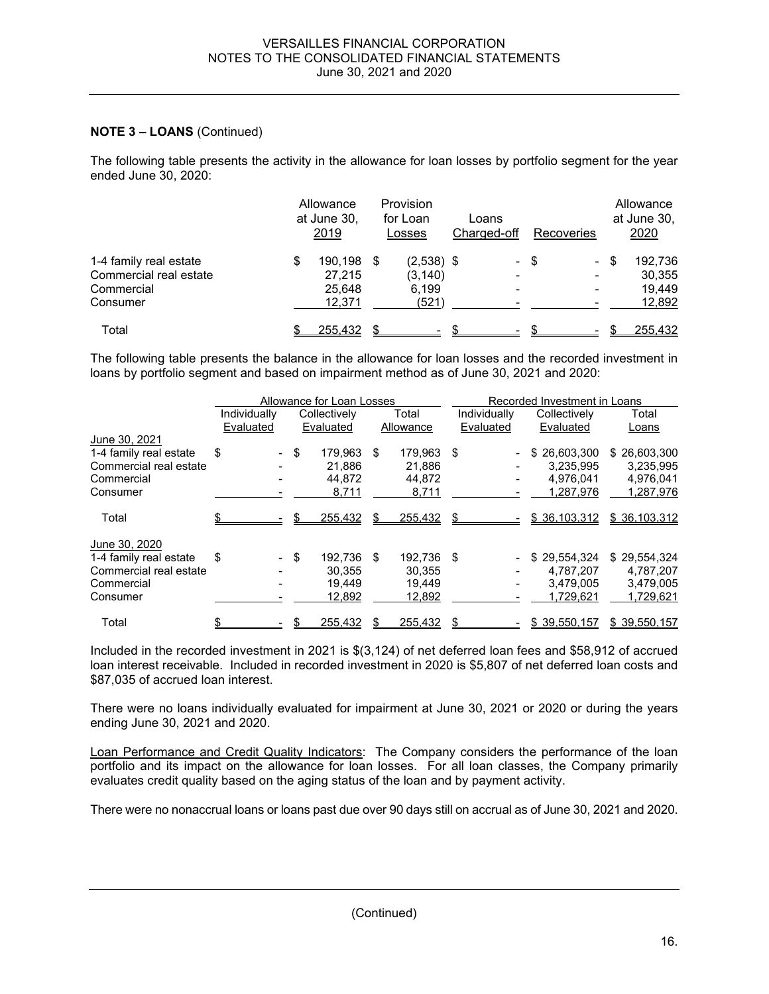### **NOTE 3 – LOANS** (Continued)

The following table presents the activity in the allowance for loan losses by portfolio segment for the year ended June 30, 2020:

|                                                                            | Allowance<br>at June 30,<br>2019               | Provision<br>for Loan<br>Losses            | Loans<br>Charged-off | Recoveries |      | Allowance<br>at June 30,<br>2020      |
|----------------------------------------------------------------------------|------------------------------------------------|--------------------------------------------|----------------------|------------|------|---------------------------------------|
| 1-4 family real estate<br>Commercial real estate<br>Commercial<br>Consumer | \$<br>190,198 \$<br>27,215<br>25,648<br>12,371 | $(2,538)$ \$<br>(3, 140)<br>6.199<br>(521) |                      | - \$<br>۰  | - \$ | 192,736<br>30,355<br>19.449<br>12,892 |
| Total                                                                      | 255,432                                        |                                            |                      |            |      | 255,432                               |

The following table presents the balance in the allowance for loan losses and the recorded investment in loans by portfolio segment and based on impairment method as of June 30, 2021 and 2020:

|                        | Allowance for Loan Losses |      |              |    | Recorded Investment in Loans |    |              |              |              |
|------------------------|---------------------------|------|--------------|----|------------------------------|----|--------------|--------------|--------------|
|                        | Individually              |      | Collectively |    | Total                        |    | Individually | Collectively | Total        |
|                        | Evaluated                 |      | Evaluated    |    | Allowance                    |    | Evaluated    | Evaluated    | Loans        |
| June 30, 2021          |                           |      |              |    |                              |    |              |              |              |
| 1-4 family real estate | \$                        | - \$ | 179.963      | \$ | 179.963                      | \$ |              | \$26,603,300 | \$26,603,300 |
| Commercial real estate |                           |      | 21.886       |    | 21.886                       |    |              | 3.235.995    | 3.235.995    |
| Commercial             |                           |      | 44,872       |    | 44,872                       |    |              | 4,976,041    | 4,976,041    |
| Consumer               |                           |      | 8,711        |    | 8,711                        |    |              | 1,287,976    | 1,287,976    |
| Total                  |                           | \$   | 255,432      | S  | 255,432                      | \$ |              | \$36,103,312 | \$36,103,312 |
| June 30, 2020          |                           |      |              |    |                              |    |              |              |              |
| 1-4 family real estate | \$                        | - \$ | 192.736      | \$ | 192.736 \$                   |    |              | \$29,554,324 | \$29,554,324 |
| Commercial real estate |                           |      | 30.355       |    | 30,355                       |    |              | 4.787.207    | 4,787,207    |
| Commercial             |                           |      | 19.449       |    | 19.449                       |    |              | 3.479.005    | 3,479,005    |
| Consumer               |                           |      | 12,892       |    | 12,892                       |    |              | 1,729,621    | 1,729,621    |
| Total                  |                           |      | 255,432      |    | 255,432                      | \$ |              | \$39,550,157 | \$39,550,157 |

Included in the recorded investment in 2021 is \$(3,124) of net deferred loan fees and \$58,912 of accrued loan interest receivable. Included in recorded investment in 2020 is \$5,807 of net deferred loan costs and \$87,035 of accrued loan interest.

There were no loans individually evaluated for impairment at June 30, 2021 or 2020 or during the years ending June 30, 2021 and 2020.

Loan Performance and Credit Quality Indicators: The Company considers the performance of the loan portfolio and its impact on the allowance for loan losses. For all loan classes, the Company primarily evaluates credit quality based on the aging status of the loan and by payment activity.

There were no nonaccrual loans or loans past due over 90 days still on accrual as of June 30, 2021 and 2020.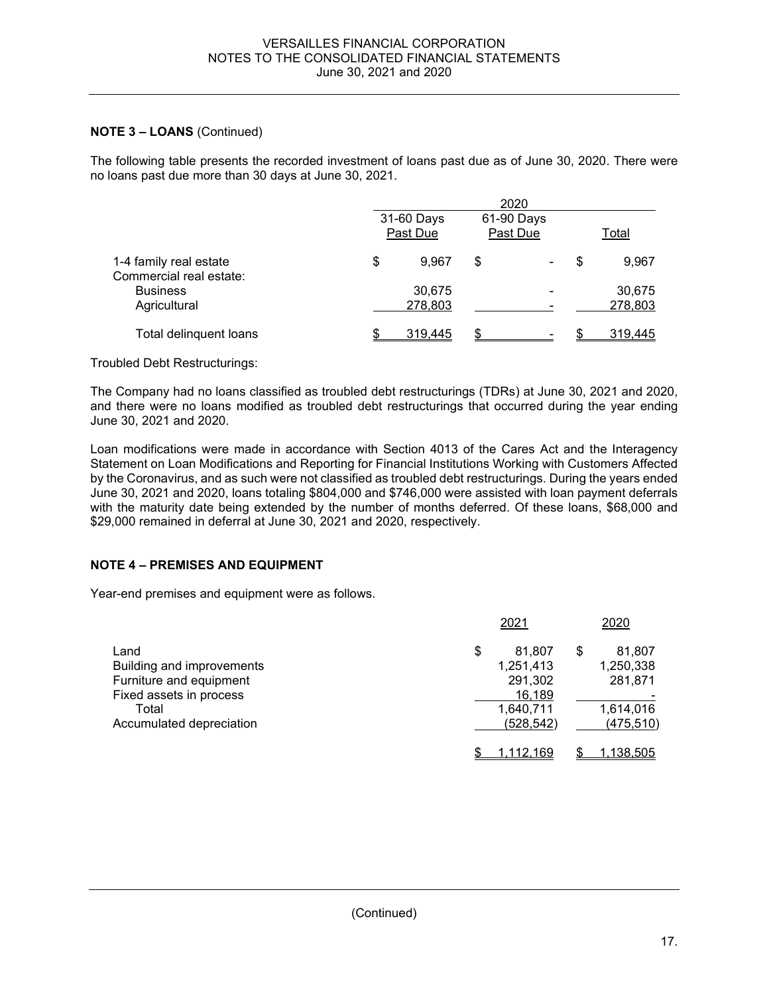### **NOTE 3 – LOANS** (Continued)

The following table presents the recorded investment of loans past due as of June 30, 2020. There were no loans past due more than 30 days at June 30, 2021.

|                                                   |                        | 2020                   |   |   |                   |
|---------------------------------------------------|------------------------|------------------------|---|---|-------------------|
|                                                   | 31-60 Days<br>Past Due | 61-90 Days<br>Past Due |   |   | Total             |
| 1-4 family real estate<br>Commercial real estate: | \$<br>9.967            | \$                     | ۰ | S | 9,967             |
| <b>Business</b><br>Agricultural                   | 30,675<br>278,803      |                        |   |   | 30,675<br>278,803 |
| Total delinquent loans                            | 319,445                | S.                     |   |   | 319,445           |

#### Troubled Debt Restructurings:

The Company had no loans classified as troubled debt restructurings (TDRs) at June 30, 2021 and 2020, and there were no loans modified as troubled debt restructurings that occurred during the year ending June 30, 2021 and 2020.

Loan modifications were made in accordance with Section 4013 of the Cares Act and the Interagency Statement on Loan Modifications and Reporting for Financial Institutions Working with Customers Affected by the Coronavirus, and as such were not classified as troubled debt restructurings. During the years ended June 30, 2021 and 2020, loans totaling \$804,000 and \$746,000 were assisted with loan payment deferrals with the maturity date being extended by the number of months deferred. Of these loans, \$68,000 and \$29,000 remained in deferral at June 30, 2021 and 2020, respectively.

#### **NOTE 4 – PREMISES AND EQUIPMENT**

Year-end premises and equipment were as follows.

|                           | 2021         | 2020             |
|---------------------------|--------------|------------------|
| Land                      | \$<br>81.807 | 81.807<br>S      |
| Building and improvements | 1,251,413    | 1,250,338        |
| Furniture and equipment   | 291,302      | 281,871          |
| Fixed assets in process   | 16,189       |                  |
| Total                     | 1,640,711    | 1,614,016        |
| Accumulated depreciation  | (528, 542)   | (475, 510)       |
|                           | 1,112,169    | <u>1,138,505</u> |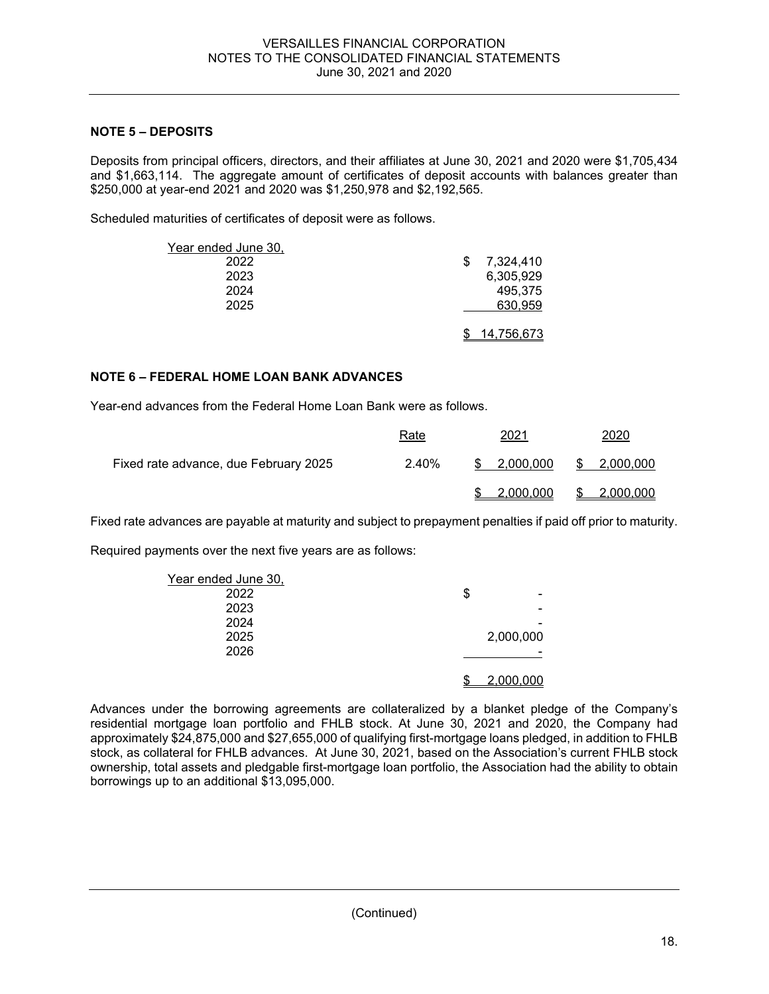# **NOTE 5 – DEPOSITS**

Deposits from principal officers, directors, and their affiliates at June 30, 2021 and 2020 were \$1,705,434 and \$1,663,114. The aggregate amount of certificates of deposit accounts with balances greater than \$250,000 at year-end 2021 and 2020 was \$1,250,978 and \$2,192,565.

Scheduled maturities of certificates of deposit were as follows.

| Year ended June 30, |            |
|---------------------|------------|
| 2022                | 7,324,410  |
| 2023                | 6,305,929  |
| 2024                | 495.375    |
| 2025                | 630,959    |
|                     | 14,756,673 |

#### **NOTE 6 – FEDERAL HOME LOAN BANK ADVANCES**

Year-end advances from the Federal Home Loan Bank were as follows.

|                                       | Rate  | 2021         | 2020         |
|---------------------------------------|-------|--------------|--------------|
| Fixed rate advance, due February 2025 | 2.40% | \$ 2.000.000 | \$2,000,000  |
|                                       |       | \$2,000,000  | \$ 2,000,000 |

Fixed rate advances are payable at maturity and subject to prepayment penalties if paid off prior to maturity.

Required payments over the next five years are as follows:

| Year ended June 30, |                  |   |
|---------------------|------------------|---|
| 2022                | \$               |   |
| 2023                |                  |   |
| 2024                |                  | - |
| 2025                | 2,000,000        |   |
| 2026                |                  |   |
|                     | <u>2,000,000</u> |   |

Advances under the borrowing agreements are collateralized by a blanket pledge of the Company's residential mortgage loan portfolio and FHLB stock. At June 30, 2021 and 2020, the Company had approximately \$24,875,000 and \$27,655,000 of qualifying first-mortgage loans pledged, in addition to FHLB stock, as collateral for FHLB advances. At June 30, 2021, based on the Association's current FHLB stock ownership, total assets and pledgable first-mortgage loan portfolio, the Association had the ability to obtain borrowings up to an additional \$13,095,000.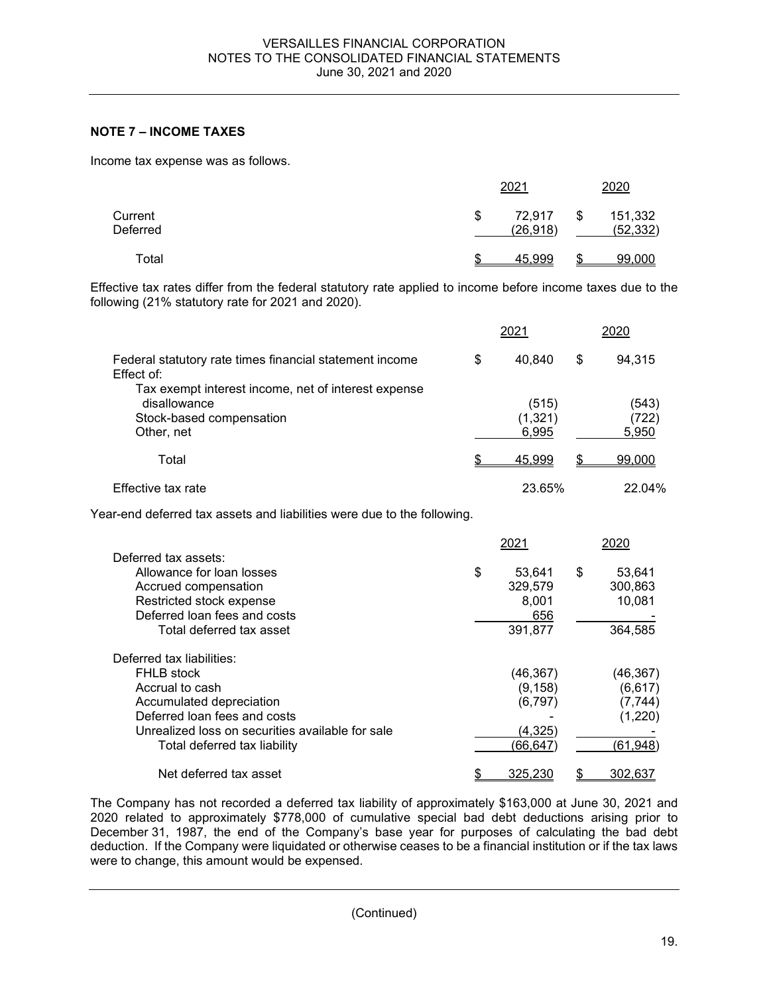## **NOTE 7 – INCOME TAXES**

Income tax expense was as follows.

|                     | 2021                      | 2020                       |
|---------------------|---------------------------|----------------------------|
| Current<br>Deferred | \$<br>72,917<br>(26, 918) | \$<br>151,332<br>(52, 332) |
| Total               | 45.999                    | 99.000                     |

Effective tax rates differ from the federal statutory rate applied to income before income taxes due to the following (21% statutory rate for 2021 and 2020).

|                                                                                                               | 2021                       | 2020                    |
|---------------------------------------------------------------------------------------------------------------|----------------------------|-------------------------|
| Federal statutory rate times financial statement income<br>Effect of:                                         | \$<br>40.840               | \$<br>94.315            |
| Tax exempt interest income, net of interest expense<br>disallowance<br>Stock-based compensation<br>Other, net | (515)<br>(1, 321)<br>6.995 | (543)<br>(722)<br>5,950 |
| Total                                                                                                         | 45.999                     | 99,000                  |
| Effective tax rate                                                                                            | 23.65%                     | 22.04%                  |

Year-end deferred tax assets and liabilities were due to the following.

|                                                  | 2021         | 2020         |
|--------------------------------------------------|--------------|--------------|
| Deferred tax assets:                             |              |              |
| Allowance for loan losses                        | \$<br>53,641 | \$<br>53,641 |
| Accrued compensation                             | 329,579      | 300,863      |
| Restricted stock expense                         | 8,001        | 10,081       |
| Deferred loan fees and costs                     | 656          |              |
| Total deferred tax asset                         | 391,877      | 364,585      |
| Deferred tax liabilities:                        |              |              |
| <b>FHLB</b> stock                                | (46, 367)    | (46,367)     |
| Accrual to cash                                  | (9, 158)     | (6,617)      |
| Accumulated depreciation                         | (6,797)      | (7, 744)     |
| Deferred loan fees and costs                     |              | (1,220)      |
| Unrealized loss on securities available for sale | (4, 325)     |              |
| Total deferred tax liability                     | (66,647)     | (61,948)     |
| Net deferred tax asset                           | 325.230      | 302.637      |

The Company has not recorded a deferred tax liability of approximately \$163,000 at June 30, 2021 and 2020 related to approximately \$778,000 of cumulative special bad debt deductions arising prior to December 31, 1987, the end of the Company's base year for purposes of calculating the bad debt deduction. If the Company were liquidated or otherwise ceases to be a financial institution or if the tax laws were to change, this amount would be expensed.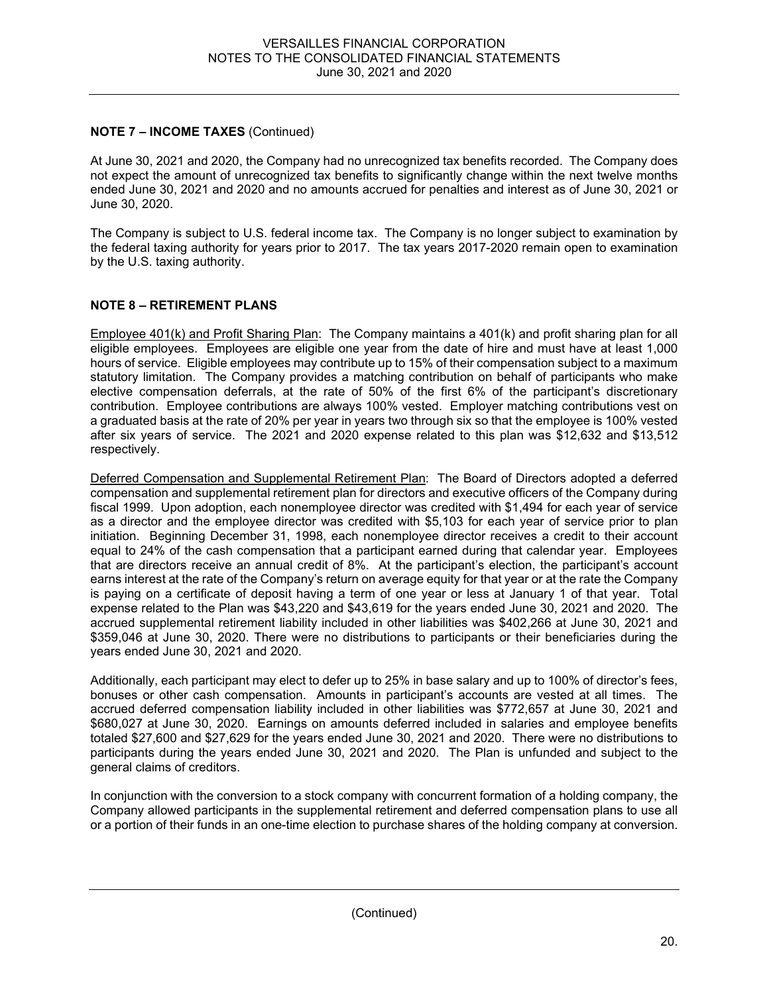### **NOTE 7 – INCOME TAXES** (Continued)

At June 30, 2021 and 2020, the Company had no unrecognized tax benefits recorded. The Company does not expect the amount of unrecognized tax benefits to significantly change within the next twelve months ended June 30, 2021 and 2020 and no amounts accrued for penalties and interest as of June 30, 2021 or June 30, 2020.

The Company is subject to U.S. federal income tax. The Company is no longer subject to examination by the federal taxing authority for years prior to 2017. The tax years 2017-2020 remain open to examination by the U.S. taxing authority.

### **NOTE 8 – RETIREMENT PLANS**

Employee 401(k) and Profit Sharing Plan: The Company maintains a 401(k) and profit sharing plan for all eligible employees. Employees are eligible one year from the date of hire and must have at least 1,000 hours of service. Eligible employees may contribute up to 15% of their compensation subject to a maximum statutory limitation. The Company provides a matching contribution on behalf of participants who make elective compensation deferrals, at the rate of 50% of the first 6% of the participant's discretionary contribution. Employee contributions are always 100% vested. Employer matching contributions vest on a graduated basis at the rate of 20% per year in years two through six so that the employee is 100% vested after six years of service. The 2021 and 2020 expense related to this plan was \$12,632 and \$13,512 respectively.

Deferred Compensation and Supplemental Retirement Plan: The Board of Directors adopted a deferred compensation and supplemental retirement plan for directors and executive officers of the Company during fiscal 1999. Upon adoption, each nonemployee director was credited with \$1,494 for each year of service as a director and the employee director was credited with \$5,103 for each year of service prior to plan initiation. Beginning December 31, 1998, each nonemployee director receives a credit to their account equal to 24% of the cash compensation that a participant earned during that calendar year. Employees that are directors receive an annual credit of 8%. At the participant's election, the participant's account earns interest at the rate of the Company's return on average equity for that year or at the rate the Company is paying on a certificate of deposit having a term of one year or less at January 1 of that year. Total expense related to the Plan was \$43,220 and \$43,619 for the years ended June 30, 2021 and 2020. The accrued supplemental retirement liability included in other liabilities was \$402,266 at June 30, 2021 and \$359,046 at June 30, 2020. There were no distributions to participants or their beneficiaries during the years ended June 30, 2021 and 2020.

Additionally, each participant may elect to defer up to 25% in base salary and up to 100% of director's fees, bonuses or other cash compensation. Amounts in participant's accounts are vested at all times. The accrued deferred compensation liability included in other liabilities was \$772,657 at June 30, 2021 and \$680,027 at June 30, 2020. Earnings on amounts deferred included in salaries and employee benefits totaled \$27,600 and \$27,629 for the years ended June 30, 2021 and 2020. There were no distributions to participants during the years ended June 30, 2021 and 2020. The Plan is unfunded and subject to the general claims of creditors.

In conjunction with the conversion to a stock company with concurrent formation of a holding company, the Company allowed participants in the supplemental retirement and deferred compensation plans to use all or a portion of their funds in an one-time election to purchase shares of the holding company at conversion.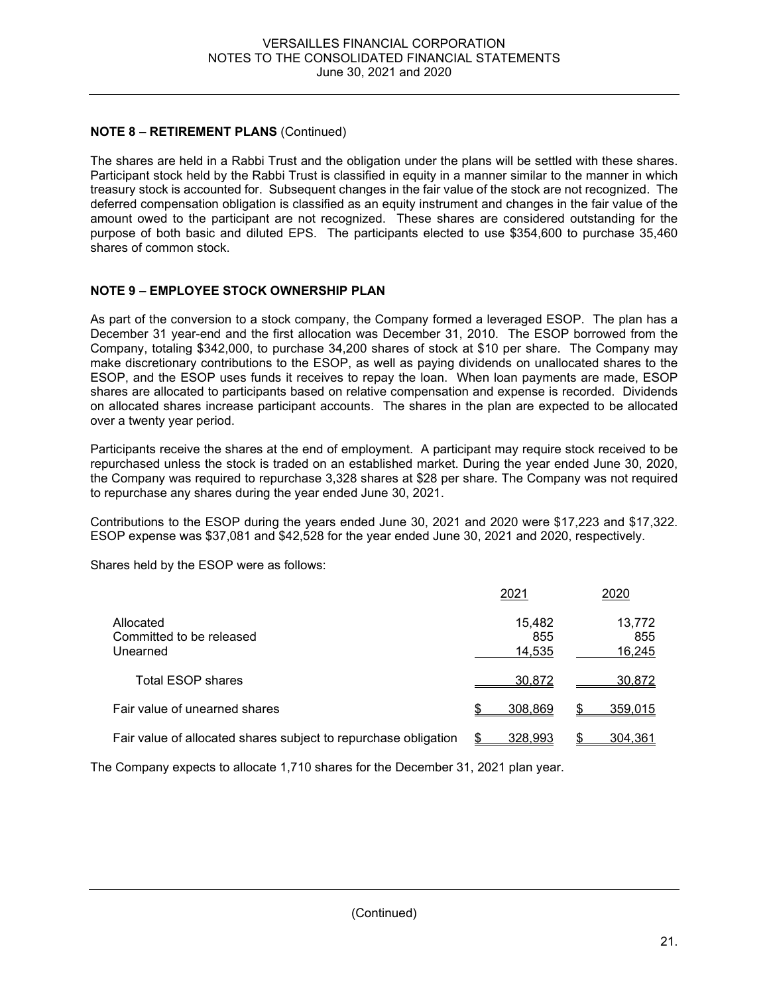# **NOTE 8 – RETIREMENT PLANS** (Continued)

The shares are held in a Rabbi Trust and the obligation under the plans will be settled with these shares. Participant stock held by the Rabbi Trust is classified in equity in a manner similar to the manner in which treasury stock is accounted for. Subsequent changes in the fair value of the stock are not recognized. The deferred compensation obligation is classified as an equity instrument and changes in the fair value of the amount owed to the participant are not recognized. These shares are considered outstanding for the purpose of both basic and diluted EPS. The participants elected to use \$354,600 to purchase 35,460 shares of common stock.

### **NOTE 9 – EMPLOYEE STOCK OWNERSHIP PLAN**

As part of the conversion to a stock company, the Company formed a leveraged ESOP. The plan has a December 31 year-end and the first allocation was December 31, 2010. The ESOP borrowed from the Company, totaling \$342,000, to purchase 34,200 shares of stock at \$10 per share. The Company may make discretionary contributions to the ESOP, as well as paying dividends on unallocated shares to the ESOP, and the ESOP uses funds it receives to repay the loan. When loan payments are made, ESOP shares are allocated to participants based on relative compensation and expense is recorded. Dividends on allocated shares increase participant accounts. The shares in the plan are expected to be allocated over a twenty year period.

Participants receive the shares at the end of employment. A participant may require stock received to be repurchased unless the stock is traded on an established market. During the year ended June 30, 2020, the Company was required to repurchase 3,328 shares at \$28 per share. The Company was not required to repurchase any shares during the year ended June 30, 2021.

Contributions to the ESOP during the years ended June 30, 2021 and 2020 were \$17,223 and \$17,322. ESOP expense was \$37,081 and \$42,528 for the year ended June 30, 2021 and 2020, respectively.

Shares held by the ESOP were as follows:

|                                                                 | 2021                    | 2020                    |
|-----------------------------------------------------------------|-------------------------|-------------------------|
| Allocated<br>Committed to be released<br>Unearned               | 15.482<br>855<br>14,535 | 13,772<br>855<br>16,245 |
| <b>Total ESOP shares</b>                                        | 30,872                  | 30,872                  |
| Fair value of unearned shares                                   | 308,869                 | 359,015<br>S.           |
| Fair value of allocated shares subject to repurchase obligation | 328,993                 | 304,361                 |

The Company expects to allocate 1,710 shares for the December 31, 2021 plan year.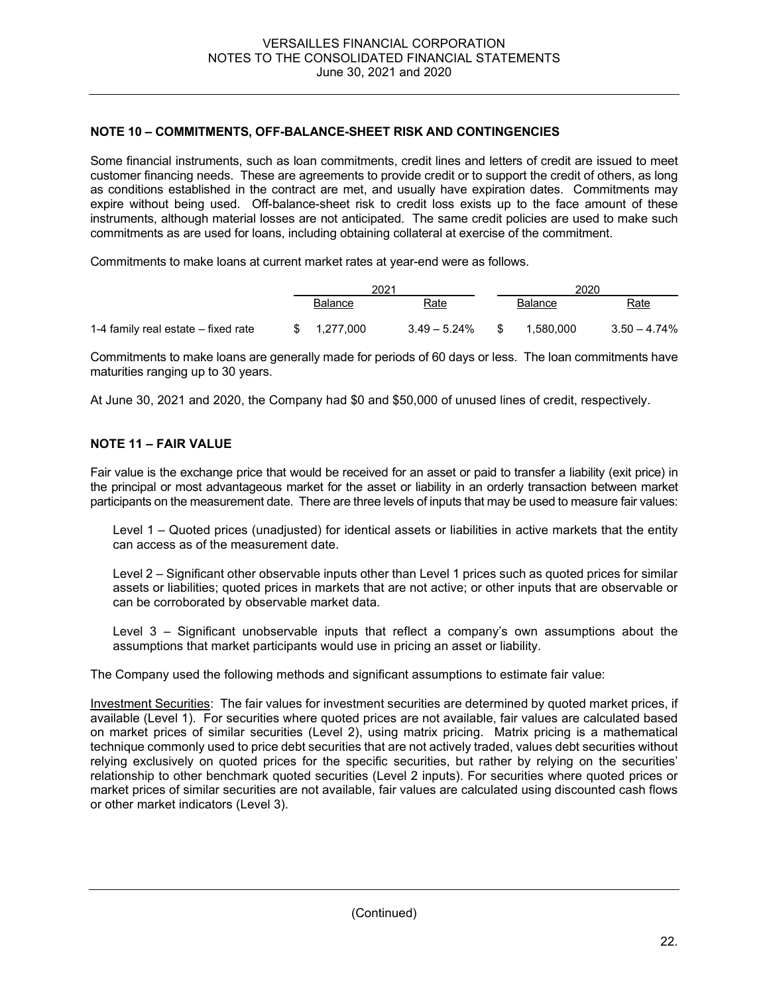### **NOTE 10 – COMMITMENTS, OFF-BALANCE-SHEET RISK AND CONTINGENCIES**

Some financial instruments, such as loan commitments, credit lines and letters of credit are issued to meet customer financing needs. These are agreements to provide credit or to support the credit of others, as long as conditions established in the contract are met, and usually have expiration dates. Commitments may expire without being used. Off-balance-sheet risk to credit loss exists up to the face amount of these instruments, although material losses are not anticipated. The same credit policies are used to make such commitments as are used for loans, including obtaining collateral at exercise of the commitment.

Commitments to make loans at current market rates at year-end were as follows.

|                                     | 2021      |                 |          | 2020      |                |
|-------------------------------------|-----------|-----------------|----------|-----------|----------------|
|                                     | Balance   | Rate            |          | Balance   | <u>Rate</u>    |
| 1-4 family real estate – fixed rate | 1.277.000 | $3.49 - 5.24\%$ | <b>S</b> | 1.580.000 | $3.50 - 4.74%$ |

Commitments to make loans are generally made for periods of 60 days or less. The loan commitments have maturities ranging up to 30 years.

At June 30, 2021 and 2020, the Company had \$0 and \$50,000 of unused lines of credit, respectively.

#### **NOTE 11 – FAIR VALUE**

Fair value is the exchange price that would be received for an asset or paid to transfer a liability (exit price) in the principal or most advantageous market for the asset or liability in an orderly transaction between market participants on the measurement date. There are three levels of inputs that may be used to measure fair values:

Level 1 – Quoted prices (unadjusted) for identical assets or liabilities in active markets that the entity can access as of the measurement date.

Level 2 – Significant other observable inputs other than Level 1 prices such as quoted prices for similar assets or liabilities; quoted prices in markets that are not active; or other inputs that are observable or can be corroborated by observable market data.

Level 3 – Significant unobservable inputs that reflect a company's own assumptions about the assumptions that market participants would use in pricing an asset or liability.

The Company used the following methods and significant assumptions to estimate fair value:

Investment Securities: The fair values for investment securities are determined by quoted market prices, if available (Level 1). For securities where quoted prices are not available, fair values are calculated based on market prices of similar securities (Level 2), using matrix pricing. Matrix pricing is a mathematical technique commonly used to price debt securities that are not actively traded, values debt securities without relying exclusively on quoted prices for the specific securities, but rather by relying on the securities' relationship to other benchmark quoted securities (Level 2 inputs). For securities where quoted prices or market prices of similar securities are not available, fair values are calculated using discounted cash flows or other market indicators (Level 3).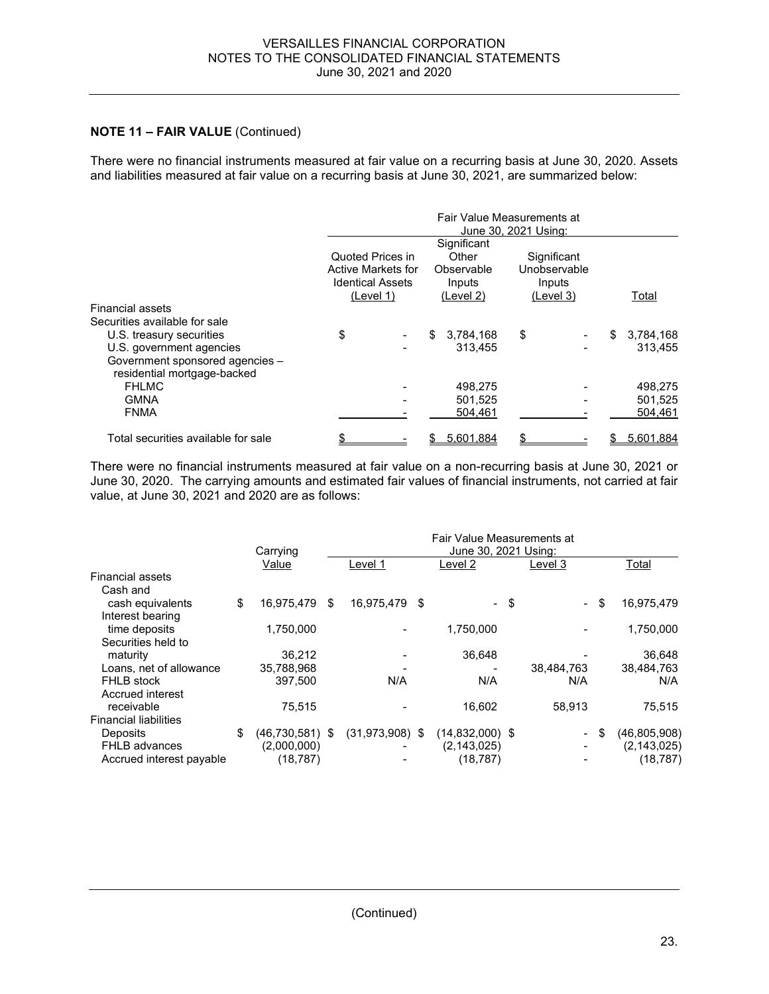#### **NOTE 11 – FAIR VALUE** (Continued)

There were no financial instruments measured at fair value on a recurring basis at June 30, 2020. Assets and liabilities measured at fair value on a recurring basis at June 30, 2021, are summarized below:

|                                                                                            | Fair Value Measurements at<br>June 30, 2021 Using:                |  |    |                                              |    |                                       |     |           |
|--------------------------------------------------------------------------------------------|-------------------------------------------------------------------|--|----|----------------------------------------------|----|---------------------------------------|-----|-----------|
|                                                                                            | Quoted Prices in<br>Active Markets for<br><b>Identical Assets</b> |  |    | Significant<br>Other<br>Observable<br>Inputs |    | Significant<br>Unobservable<br>Inputs |     |           |
|                                                                                            | (Level 1)                                                         |  |    | (Level 2)                                    |    | (Level 3)                             |     | Total     |
| Financial assets                                                                           |                                                                   |  |    |                                              |    |                                       |     |           |
| Securities available for sale                                                              |                                                                   |  |    |                                              |    |                                       |     |           |
| U.S. treasury securities                                                                   | \$                                                                |  | \$ | 3,784,168                                    | \$ |                                       | \$. | 3,784,168 |
| U.S. government agencies<br>Government sponsored agencies -<br>residential mortgage-backed |                                                                   |  |    | 313.455                                      |    |                                       |     | 313.455   |
| <b>FHLMC</b>                                                                               |                                                                   |  |    | 498,275                                      |    |                                       |     | 498,275   |
| <b>GMNA</b>                                                                                |                                                                   |  |    | 501,525                                      |    |                                       |     | 501,525   |
| <b>FNMA</b>                                                                                |                                                                   |  |    | 504,461                                      |    |                                       |     | 504,461   |
| Total securities available for sale                                                        |                                                                   |  |    | 5,601,884                                    |    |                                       |     | 5,601,884 |

There were no financial instruments measured at fair value on a non-recurring basis at June 30, 2021 or June 30, 2020. The carrying amounts and estimated fair values of financial instruments, not carried at fair value, at June 30, 2021 and 2020 are as follows:

|                              |                         |                     | Fair Value Measurements at |      |                |                    |
|------------------------------|-------------------------|---------------------|----------------------------|------|----------------|--------------------|
|                              | Carrying                |                     | June 30, 2021 Using:       |      |                |                    |
|                              | Value                   | Level 1             | Level 2                    |      | Level 3        | Total              |
| <b>Financial assets</b>      |                         |                     |                            |      |                |                    |
| Cash and                     |                         |                     |                            |      |                |                    |
| cash equivalents             | \$<br>16,975,479        | \$<br>16,975,479 \$ |                            | - \$ | $\sim$         | \$<br>16,975,479   |
| Interest bearing             |                         |                     |                            |      |                |                    |
| time deposits                | 1,750,000               |                     | 1,750,000                  |      |                | 1,750,000          |
| Securities held to           |                         |                     |                            |      |                |                    |
| maturity                     | 36.212                  |                     | 36,648                     |      |                | 36,648             |
| Loans, net of allowance      | 35,788,968              |                     |                            |      | 38,484,763     | 38,484,763         |
| <b>FHLB</b> stock            | 397.500                 | N/A                 | N/A                        |      | N/A            | N/A                |
| Accrued interest             |                         |                     |                            |      |                |                    |
| receivable                   | 75.515                  |                     | 16.602                     |      | 58.913         | 75,515             |
| <b>Financial liabilities</b> |                         |                     |                            |      |                |                    |
| Deposits                     | \$<br>$(46,730,581)$ \$ | $(31.973.908)$ \$   | $(14,832,000)$ \$          |      | $\blacksquare$ | \$<br>(46,805,908) |
| FHLB advances                | (2,000,000)             |                     | (2, 143, 025)              |      |                | (2, 143, 025)      |
| Accrued interest payable     | (18, 787)               |                     | (18, 787)                  |      |                | (18,787)           |
|                              |                         |                     |                            |      |                |                    |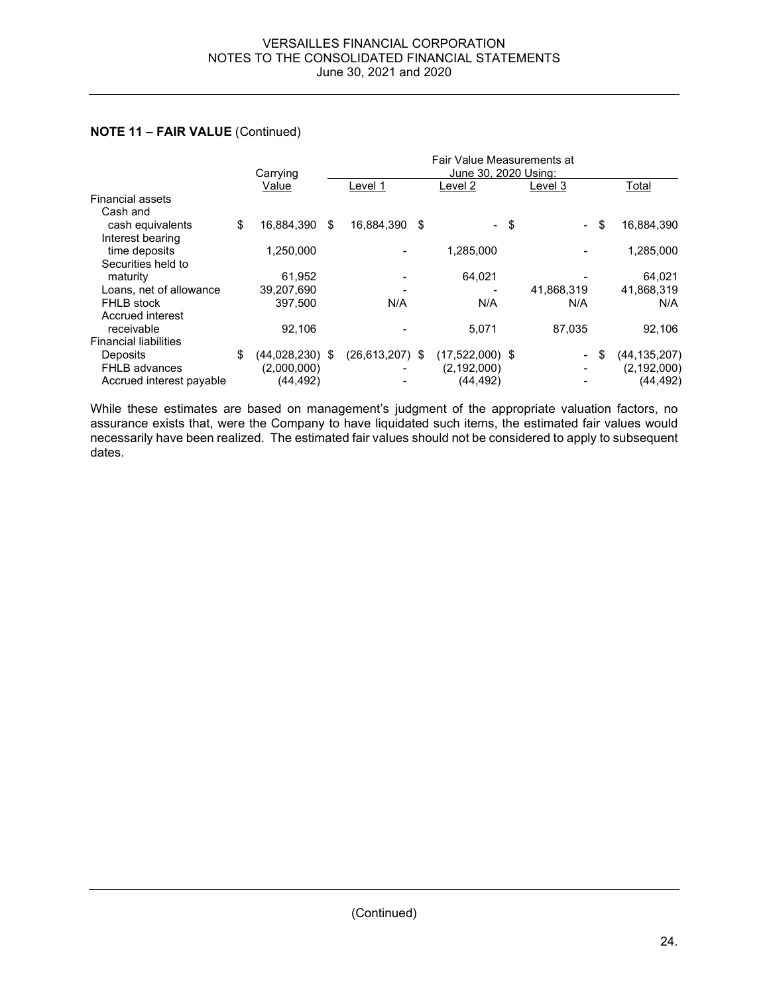# **NOTE 11 – FAIR VALUE** (Continued)

|                              |          |                     |    |                      |  | Fair Value Measurements at |      |                |    |                |
|------------------------------|----------|---------------------|----|----------------------|--|----------------------------|------|----------------|----|----------------|
|                              | Carrying |                     |    | June 30, 2020 Using: |  |                            |      |                |    |                |
|                              |          | Value               |    | Level 1              |  | Level 2                    |      | <u>Level 3</u> |    | Total          |
| <b>Financial assets</b>      |          |                     |    |                      |  |                            |      |                |    |                |
| Cash and                     |          |                     |    |                      |  |                            |      |                |    |                |
| cash equivalents             | \$       | 16.884.390          | \$ | 16,884,390 \$        |  |                            | - \$ | $\sim$         | \$ | 16,884,390     |
| Interest bearing             |          |                     |    |                      |  |                            |      |                |    |                |
| time deposits                |          | 1,250,000           |    |                      |  | 1,285,000                  |      |                |    | 1,285,000      |
| Securities held to           |          |                     |    |                      |  |                            |      |                |    |                |
| maturity                     |          | 61,952              |    |                      |  | 64,021                     |      |                |    | 64,021         |
| Loans, net of allowance      |          | 39,207,690          |    |                      |  |                            |      | 41,868,319     |    | 41,868,319     |
| <b>FHLB</b> stock            |          | 397,500             |    | N/A                  |  | N/A                        |      | N/A            |    | N/A            |
| Accrued interest             |          |                     |    |                      |  |                            |      |                |    |                |
| receivable                   |          | 92,106              |    |                      |  | 5,071                      |      | 87.035         |    | 92,106         |
| <b>Financial liabilities</b> |          |                     |    |                      |  |                            |      |                |    |                |
| Deposits                     | \$       | $(44, 028, 230)$ \$ |    | $(26, 613, 207)$ \$  |  | $(17,522,000)$ \$          |      | $\sim$         | \$ | (44, 135, 207) |
| <b>FHLB</b> advances         |          | (2,000,000)         |    |                      |  | (2, 192, 000)              |      |                |    | (2, 192, 000)  |
| Accrued interest payable     |          | (44, 492)           |    |                      |  | (44, 492)                  |      |                |    | (44,492)       |

While these estimates are based on management's judgment of the appropriate valuation factors, no assurance exists that, were the Company to have liquidated such items, the estimated fair values would necessarily have been realized. The estimated fair values should not be considered to apply to subsequent dates.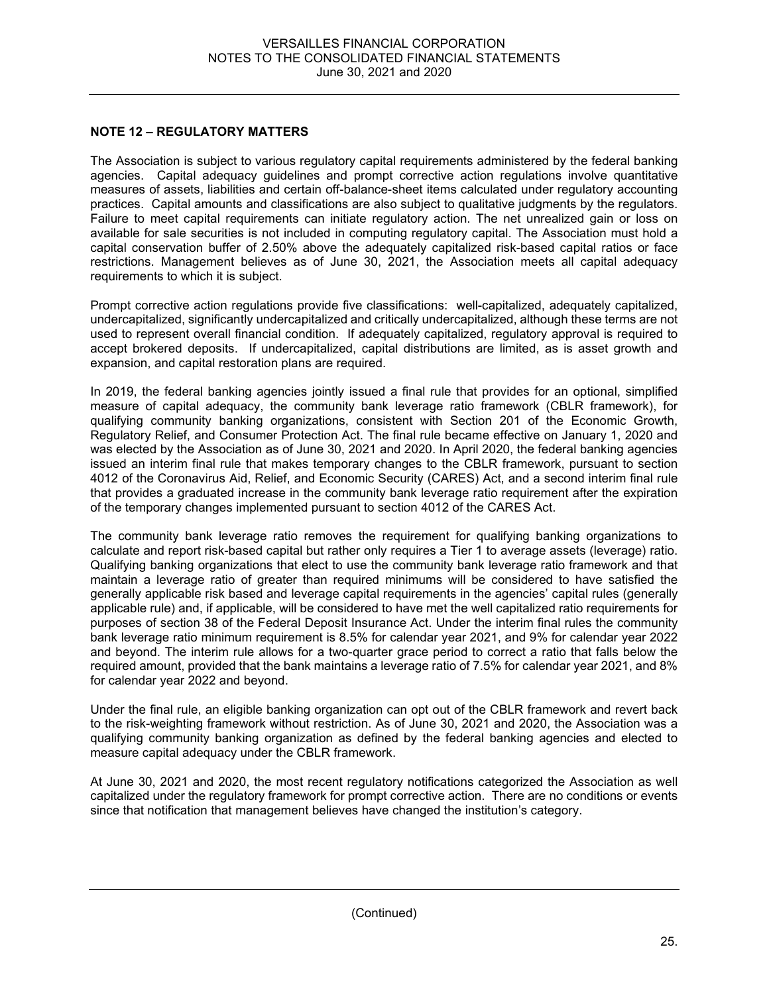### **NOTE 12 – REGULATORY MATTERS**

The Association is subject to various regulatory capital requirements administered by the federal banking agencies. Capital adequacy guidelines and prompt corrective action regulations involve quantitative measures of assets, liabilities and certain off-balance-sheet items calculated under regulatory accounting practices. Capital amounts and classifications are also subject to qualitative judgments by the regulators. Failure to meet capital requirements can initiate regulatory action. The net unrealized gain or loss on available for sale securities is not included in computing regulatory capital. The Association must hold a capital conservation buffer of 2.50% above the adequately capitalized risk-based capital ratios or face restrictions. Management believes as of June 30, 2021, the Association meets all capital adequacy requirements to which it is subject.

Prompt corrective action regulations provide five classifications: well-capitalized, adequately capitalized, undercapitalized, significantly undercapitalized and critically undercapitalized, although these terms are not used to represent overall financial condition. If adequately capitalized, regulatory approval is required to accept brokered deposits. If undercapitalized, capital distributions are limited, as is asset growth and expansion, and capital restoration plans are required.

In 2019, the federal banking agencies jointly issued a final rule that provides for an optional, simplified measure of capital adequacy, the community bank leverage ratio framework (CBLR framework), for qualifying community banking organizations, consistent with Section 201 of the Economic Growth, Regulatory Relief, and Consumer Protection Act. The final rule became effective on January 1, 2020 and was elected by the Association as of June 30, 2021 and 2020. In April 2020, the federal banking agencies issued an interim final rule that makes temporary changes to the CBLR framework, pursuant to section 4012 of the Coronavirus Aid, Relief, and Economic Security (CARES) Act, and a second interim final rule that provides a graduated increase in the community bank leverage ratio requirement after the expiration of the temporary changes implemented pursuant to section 4012 of the CARES Act.

The community bank leverage ratio removes the requirement for qualifying banking organizations to calculate and report risk-based capital but rather only requires a Tier 1 to average assets (leverage) ratio. Qualifying banking organizations that elect to use the community bank leverage ratio framework and that maintain a leverage ratio of greater than required minimums will be considered to have satisfied the generally applicable risk based and leverage capital requirements in the agencies' capital rules (generally applicable rule) and, if applicable, will be considered to have met the well capitalized ratio requirements for purposes of section 38 of the Federal Deposit Insurance Act. Under the interim final rules the community bank leverage ratio minimum requirement is 8.5% for calendar year 2021, and 9% for calendar year 2022 and beyond. The interim rule allows for a two-quarter grace period to correct a ratio that falls below the required amount, provided that the bank maintains a leverage ratio of 7.5% for calendar year 2021, and 8% for calendar year 2022 and beyond.

Under the final rule, an eligible banking organization can opt out of the CBLR framework and revert back to the risk-weighting framework without restriction. As of June 30, 2021 and 2020, the Association was a qualifying community banking organization as defined by the federal banking agencies and elected to measure capital adequacy under the CBLR framework.

At June 30, 2021 and 2020, the most recent regulatory notifications categorized the Association as well capitalized under the regulatory framework for prompt corrective action. There are no conditions or events since that notification that management believes have changed the institution's category.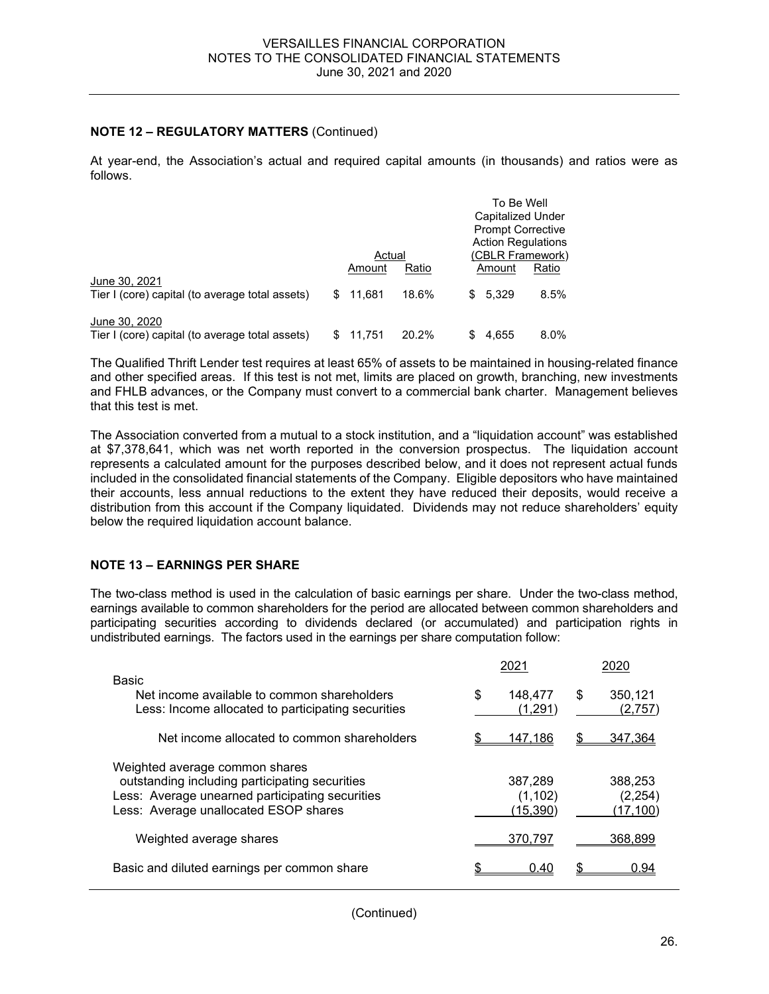### **NOTE 12 – REGULATORY MATTERS** (Continued)

At year-end, the Association's actual and required capital amounts (in thousands) and ratios were as follows.

|                                                                  |    |                  |       |     | To Be Well | Capitalized Under<br><b>Prompt Corrective</b><br><b>Action Regulations</b> |
|------------------------------------------------------------------|----|------------------|-------|-----|------------|----------------------------------------------------------------------------|
|                                                                  |    | Actual<br>Amount | Ratio |     | Amount     | (CBLR Framework)<br>Ratio                                                  |
| June 30, 2021<br>Tier I (core) capital (to average total assets) | \$ | 11.681           | 18.6% | \$. | 5.329      | 8.5%                                                                       |
| June 30, 2020<br>Tier I (core) capital (to average total assets) | S  | 11.751           | 20.2% | S   | 4.655      | $8.0\%$                                                                    |

The Qualified Thrift Lender test requires at least 65% of assets to be maintained in housing-related finance and other specified areas. If this test is not met, limits are placed on growth, branching, new investments and FHLB advances, or the Company must convert to a commercial bank charter. Management believes that this test is met.

The Association converted from a mutual to a stock institution, and a "liquidation account" was established at \$7,378,641, which was net worth reported in the conversion prospectus. The liquidation account represents a calculated amount for the purposes described below, and it does not represent actual funds included in the consolidated financial statements of the Company. Eligible depositors who have maintained their accounts, less annual reductions to the extent they have reduced their deposits, would receive a distribution from this account if the Company liquidated. Dividends may not reduce shareholders' equity below the required liquidation account balance.

#### **NOTE 13 – EARNINGS PER SHARE**

The two-class method is used in the calculation of basic earnings per share. Under the two-class method, earnings available to common shareholders for the period are allocated between common shareholders and participating securities according to dividends declared (or accumulated) and participation rights in undistributed earnings. The factors used in the earnings per share computation follow:

|                                                                                                                                                                              | $202^{\circ}$                   |   |                                |
|------------------------------------------------------------------------------------------------------------------------------------------------------------------------------|---------------------------------|---|--------------------------------|
| Basic<br>Net income available to common shareholders<br>Less: Income allocated to participating securities                                                                   | \$<br>148,477<br>(1,291)        | S | 350,121<br>(2,757)             |
| Net income allocated to common shareholders                                                                                                                                  | 147.186                         |   | 347.364                        |
| Weighted average common shares<br>outstanding including participating securities<br>Less: Average unearned participating securities<br>Less: Average unallocated ESOP shares | 387,289<br>(1, 102)<br>(15.390) |   | 388,253<br>(2, 254)<br>17,100) |
| Weighted average shares                                                                                                                                                      | 370.797                         |   | 368,899                        |
| Basic and diluted earnings per common share                                                                                                                                  | 0.40                            |   | 0.94                           |